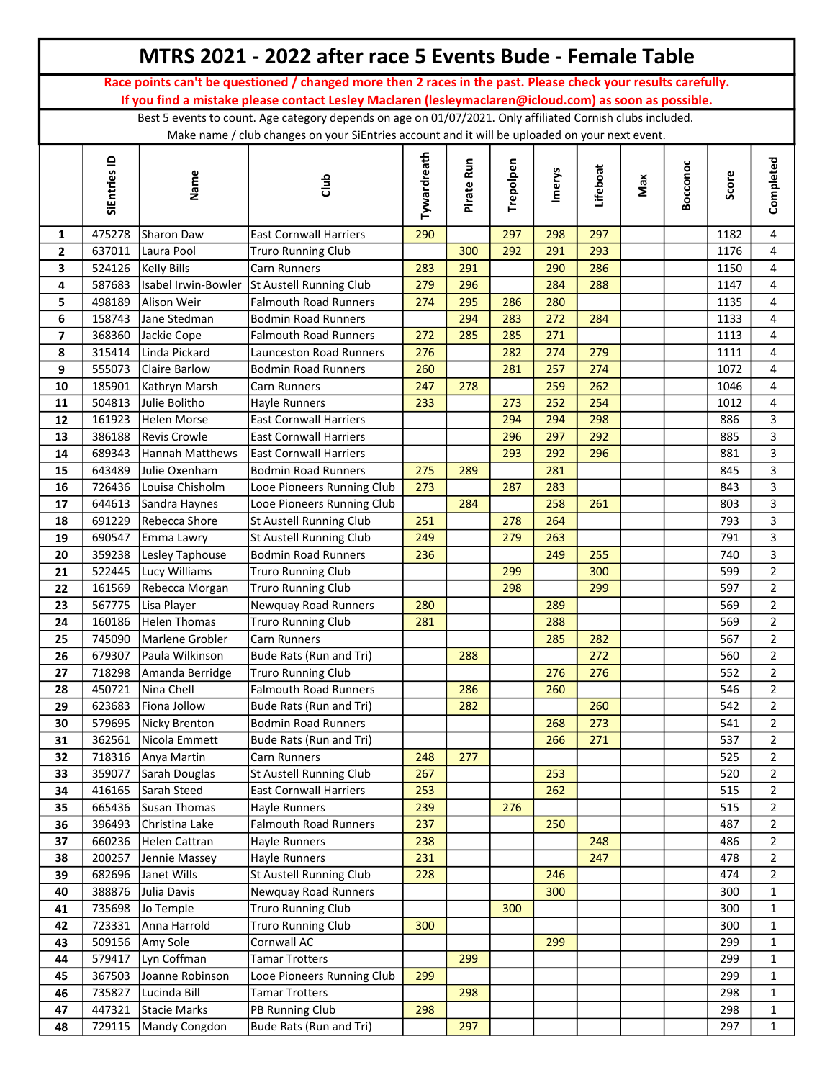|                |                  |                                | MTRS 2021 - 2022 after race 5 Events Bude - Female Table                                                      |             |            |           |            |          |     |          |            |                                  |
|----------------|------------------|--------------------------------|---------------------------------------------------------------------------------------------------------------|-------------|------------|-----------|------------|----------|-----|----------|------------|----------------------------------|
|                |                  |                                | Race points can't be questioned / changed more then 2 races in the past. Please check your results carefully. |             |            |           |            |          |     |          |            |                                  |
|                |                  |                                | If you find a mistake please contact Lesley Maclaren (lesleymaclaren@icloud.com) as soon as possible.         |             |            |           |            |          |     |          |            |                                  |
|                |                  |                                | Best 5 events to count. Age category depends on age on 01/07/2021. Only affiliated Cornish clubs included.    |             |            |           |            |          |     |          |            |                                  |
|                |                  |                                | Make name / club changes on your SiEntries account and it will be uploaded on your next event.                |             |            |           |            |          |     |          |            |                                  |
|                | SiEntries ID     | Name                           | dub                                                                                                           | Tywardreath | Pirate Run | Trepolpen | Imerys     | Lifeboat | Max | Bocconoc | Score      | Completed                        |
| 1              | 475278           | Sharon Daw                     | <b>East Cornwall Harriers</b>                                                                                 | 290         |            | 297       | 298        | 297      |     |          | 1182       | 4                                |
| $\mathbf{2}$   | 637011           | Laura Pool                     | <b>Truro Running Club</b>                                                                                     |             | 300        | 292       | 291        | 293      |     |          | 1176       | $\overline{4}$                   |
| 3              | 524126           | <b>Kelly Bills</b>             | Carn Runners                                                                                                  | 283         | 291        |           | 290        | 286      |     |          | 1150       | $\overline{4}$                   |
| 4              | 587683           |                                | Isabel Irwin-Bowler St Austell Running Club                                                                   | 279         | 296        |           | 284        | 288      |     |          | 1147       | $\overline{4}$                   |
| 5              | 498189           | Alison Weir                    | <b>Falmouth Road Runners</b>                                                                                  | 274         | 295        | 286       | 280        |          |     |          | 1135       | 4                                |
| 6              | 158743           | Jane Stedman                   | <b>Bodmin Road Runners</b>                                                                                    |             | 294        | 283       | 272        | 284      |     |          | 1133       | $\overline{4}$                   |
| $\overline{ }$ | 368360           | Jackie Cope                    | Falmouth Road Runners                                                                                         | 272         | 285        | 285       | 271        |          |     |          | 1113       | 4                                |
| 8              | 315414           | Linda Pickard                  | Launceston Road Runners                                                                                       | 276         |            | 282       | 274        | 279      |     |          | 1111       | 4                                |
| 9              | 555073           | Claire Barlow                  | <b>Bodmin Road Runners</b>                                                                                    | 260         |            | 281       | 257        | 274      |     |          | 1072       | 4                                |
| 10             | 185901           | Kathryn Marsh                  | Carn Runners                                                                                                  | 247         | 278        |           | 259        | 262      |     |          | 1046       | 4                                |
| 11             | 504813           | Julie Bolitho                  | Hayle Runners                                                                                                 | 233         |            | 273       | 252        | 254      |     |          | 1012       | $\overline{4}$                   |
| 12             | 161923           | <b>Helen Morse</b>             | <b>East Cornwall Harriers</b>                                                                                 |             |            | 294       | 294        | 298      |     |          | 886        | $\overline{3}$                   |
| 13             | 386188           | Revis Crowle                   | <b>East Cornwall Harriers</b>                                                                                 |             |            | 296       | 297        | 292      |     |          | 885        | 3                                |
| 14             | 689343           | Hannah Matthews                | <b>East Cornwall Harriers</b>                                                                                 |             |            | 293       | 292        | 296      |     |          | 881        | 3                                |
| 15             | 643489           | Julie Oxenham                  | <b>Bodmin Road Runners</b>                                                                                    | 275         | 289        | 287       | 281        |          |     |          | 845        | $\mathbf{3}$<br>3                |
| 16             | 726436<br>644613 | Louisa Chisholm                | Looe Pioneers Running Club<br>Looe Pioneers Running Club                                                      | 273         | 284        |           | 283<br>258 | 261      |     |          | 843<br>803 | 3                                |
| 17<br>18       | 691229           | Sandra Haynes<br>Rebecca Shore | St Austell Running Club                                                                                       | 251         |            | 278       | 264        |          |     |          | 793        | 3                                |
| 19             | 690547           | Emma Lawry                     | St Austell Running Club                                                                                       | 249         |            | 279       | 263        |          |     |          | 791        | 3                                |
| 20             | 359238           | Lesley Taphouse                | <b>Bodmin Road Runners</b>                                                                                    | 236         |            |           | 249        | 255      |     |          | 740        | $\overline{3}$                   |
| 21             | 522445           | Lucy Williams                  | <b>Truro Running Club</b>                                                                                     |             |            | 299       |            | 300      |     |          | 599        | $\overline{2}$                   |
| 22             | 161569           | Rebecca Morgan                 | <b>Truro Running Club</b>                                                                                     |             |            | 298       |            | 299      |     |          | 597        | $\overline{2}$                   |
| 23             | 567775           | Lisa Player                    | Newquay Road Runners                                                                                          | 280         |            |           | 289        |          |     |          | 569        | $\overline{2}$                   |
| 24             | 160186           | <b>Helen Thomas</b>            | <b>Truro Running Club</b>                                                                                     | 281         |            |           | 288        |          |     |          | 569        | $\overline{2}$                   |
| 25             | 745090           | Marlene Grobler                | Carn Runners                                                                                                  |             |            |           | 285        | 282      |     |          | 567        | $\overline{2}$                   |
| 26             | 679307           | Paula Wilkinson                | Bude Rats (Run and Tri)                                                                                       |             | 288        |           |            | 272      |     |          | 560        | $\overline{2}$                   |
| 27             | 718298           | Amanda Berridge                | <b>Truro Running Club</b>                                                                                     |             |            |           | 276        | 276      |     |          | 552        | $\overline{2}$                   |
| 28             | 450721           | Nina Chell                     | <b>Falmouth Road Runners</b>                                                                                  |             | 286        |           | 260        |          |     |          | 546        | $\overline{2}$                   |
| 29             | 623683           | Fiona Jollow                   | Bude Rats (Run and Tri)                                                                                       |             | 282        |           |            | 260      |     |          | 542        | $\overline{2}$                   |
| 30             | 579695           | Nicky Brenton                  | <b>Bodmin Road Runners</b>                                                                                    |             |            |           | 268        | 273      |     |          | 541        | $\overline{2}$                   |
| 31             | 362561           | Nicola Emmett                  | Bude Rats (Run and Tri)                                                                                       |             |            |           | 266        | 271      |     |          | 537        | $\overline{2}$                   |
| 32             | 718316           | Anya Martin                    | Carn Runners                                                                                                  | 248         | 277        |           |            |          |     |          | 525        | $\overline{2}$                   |
| 33             | 359077           | Sarah Douglas                  | St Austell Running Club                                                                                       | 267         |            |           | 253        |          |     |          | 520        | $\overline{2}$                   |
| 34             | 416165           | Sarah Steed                    | <b>East Cornwall Harriers</b>                                                                                 | 253         |            |           | 262        |          |     |          | 515        | $\overline{2}$                   |
| 35             | 665436           | Susan Thomas                   | Hayle Runners                                                                                                 | 239         |            | 276       |            |          |     |          | 515        | $\overline{2}$                   |
| 36             | 396493           | Christina Lake                 | <b>Falmouth Road Runners</b>                                                                                  | 237         |            |           | 250        |          |     |          | 487        | $\overline{2}$                   |
| 37             | 660236           | Helen Cattran                  | Hayle Runners                                                                                                 | 238         |            |           |            | 248      |     |          | 486        | $\overline{2}$                   |
| 38             | 200257           | Jennie Massey                  | Hayle Runners<br>St Austell Running Club                                                                      | 231<br>228  |            |           | 246        | 247      |     |          | 478<br>474 | $\overline{2}$<br>$\overline{2}$ |
| 39             | 682696           | Janet Wills                    |                                                                                                               |             |            |           | 300        |          |     |          | 300        |                                  |
| 40<br>41       | 388876<br>735698 | Julia Davis<br>Jo Temple       | Newquay Road Runners<br><b>Truro Running Club</b>                                                             |             |            | 300       |            |          |     |          | 300        | $\mathbf{1}$<br>$\mathbf{1}$     |
| 42             | 723331           | Anna Harrold                   | <b>Truro Running Club</b>                                                                                     | 300         |            |           |            |          |     |          | 300        | $\mathbf{1}$                     |
| 43             | 509156           | Amy Sole                       | Cornwall AC                                                                                                   |             |            |           | 299        |          |     |          | 299        | $\mathbf{1}$                     |
| 44             | 579417           | Lyn Coffman                    | <b>Tamar Trotters</b>                                                                                         |             | 299        |           |            |          |     |          | 299        | $\mathbf{1}$                     |
| 45             | 367503           | Joanne Robinson                | Looe Pioneers Running Club                                                                                    | 299         |            |           |            |          |     |          | 299        | $\mathbf{1}$                     |
| 46             | 735827           | Lucinda Bill                   | <b>Tamar Trotters</b>                                                                                         |             | 298        |           |            |          |     |          | 298        | $\mathbf{1}$                     |
| 47             | 447321           | Stacie Marks                   | PB Running Club                                                                                               | 298         |            |           |            |          |     |          | 298        | $\mathbf{1}$                     |
| 48             | 729115           | Mandy Congdon                  | Bude Rats (Run and Tri)                                                                                       |             | 297        |           |            |          |     |          | 297        | $\mathbf 1$                      |
|                |                  |                                |                                                                                                               |             |            |           |            |          |     |          |            |                                  |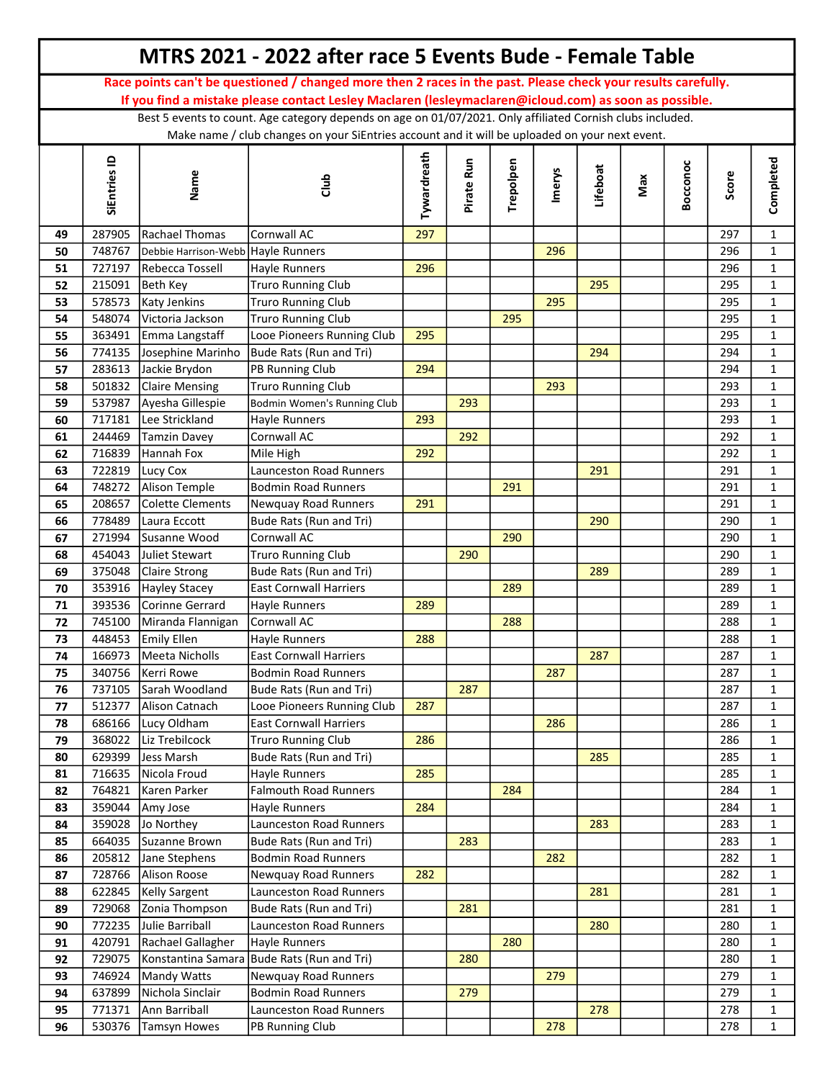|    |              |                         | MTRS 2021 - 2022 after race 5 Events Bude - Female Table                                                                                                                                                               |             |            |           |               |          |     |          |       |              |
|----|--------------|-------------------------|------------------------------------------------------------------------------------------------------------------------------------------------------------------------------------------------------------------------|-------------|------------|-----------|---------------|----------|-----|----------|-------|--------------|
|    |              |                         | Race points can't be questioned / changed more then 2 races in the past. Please check your results carefully.<br>If you find a mistake please contact Lesley Maclaren (lesleymaclaren@icloud.com) as soon as possible. |             |            |           |               |          |     |          |       |              |
|    |              |                         | Best 5 events to count. Age category depends on age on 01/07/2021. Only affiliated Cornish clubs included.                                                                                                             |             |            |           |               |          |     |          |       |              |
|    |              |                         | Make name / club changes on your SiEntries account and it will be uploaded on your next event.                                                                                                                         |             |            |           |               |          |     |          |       |              |
|    | SiEntries ID | Name                    | dub                                                                                                                                                                                                                    | Tywardreath | Pirate Run | Trepolpen | <b>Imerys</b> | Lifeboat | Max | Bocconoc | Score | Completed    |
| 49 | 287905       | Rachael Thomas          | Cornwall AC                                                                                                                                                                                                            | 297         |            |           |               |          |     |          | 297   | $\mathbf{1}$ |
| 50 | 748767       | Debbie Harrison-Webb    | <b>Hayle Runners</b>                                                                                                                                                                                                   |             |            |           | 296           |          |     |          | 296   | $\mathbf{1}$ |
| 51 | 727197       | Rebecca Tossell         | Hayle Runners                                                                                                                                                                                                          | 296         |            |           |               |          |     |          | 296   | $\mathbf{1}$ |
| 52 | 215091       | Beth Key                | <b>Truro Running Club</b>                                                                                                                                                                                              |             |            |           |               | 295      |     |          | 295   | $\mathbf{1}$ |
| 53 | 578573       | Katy Jenkins            | <b>Truro Running Club</b>                                                                                                                                                                                              |             |            |           | 295           |          |     |          | 295   | $\mathbf{1}$ |
| 54 | 548074       | Victoria Jackson        | <b>Truro Running Club</b>                                                                                                                                                                                              |             |            | 295       |               |          |     |          | 295   | $\mathbf{1}$ |
| 55 | 363491       | Emma Langstaff          | Looe Pioneers Running Club                                                                                                                                                                                             | 295         |            |           |               |          |     |          | 295   | $\mathbf{1}$ |
| 56 | 774135       | Josephine Marinho       | Bude Rats (Run and Tri)                                                                                                                                                                                                |             |            |           |               | 294      |     |          | 294   | $\mathbf{1}$ |
| 57 | 283613       | Jackie Brydon           | PB Running Club                                                                                                                                                                                                        | 294         |            |           |               |          |     |          | 294   | $\mathbf{1}$ |
| 58 | 501832       | Claire Mensing          | <b>Truro Running Club</b>                                                                                                                                                                                              |             |            |           | 293           |          |     |          | 293   | $\mathbf{1}$ |
| 59 | 537987       | Ayesha Gillespie        | Bodmin Women's Running Club                                                                                                                                                                                            |             | 293        |           |               |          |     |          | 293   | $\mathbf{1}$ |
| 60 | 717181       | Lee Strickland          | Hayle Runners                                                                                                                                                                                                          | 293         |            |           |               |          |     |          | 293   | $\mathbf{1}$ |
| 61 | 244469       | Tamzin Davey            | Cornwall AC                                                                                                                                                                                                            |             | 292        |           |               |          |     |          | 292   | $\mathbf{1}$ |
| 62 | 716839       | Hannah Fox              | Mile High                                                                                                                                                                                                              | 292         |            |           |               |          |     |          | 292   | $\mathbf{1}$ |
| 63 | 722819       | Lucy Cox                | Launceston Road Runners                                                                                                                                                                                                |             |            |           |               | 291      |     |          | 291   | $\mathbf{1}$ |
| 64 | 748272       | Alison Temple           | <b>Bodmin Road Runners</b>                                                                                                                                                                                             |             |            | 291       |               |          |     |          | 291   | $\mathbf{1}$ |
| 65 | 208657       | Colette Clements        | Newquay Road Runners                                                                                                                                                                                                   | 291         |            |           |               |          |     |          | 291   | $\mathbf{1}$ |
| 66 | 778489       | Laura Eccott            | Bude Rats (Run and Tri)                                                                                                                                                                                                |             |            |           |               | 290      |     |          | 290   | $\mathbf{1}$ |
| 67 | 271994       | Susanne Wood            | Cornwall AC                                                                                                                                                                                                            |             |            | 290       |               |          |     |          | 290   | $\mathbf{1}$ |
| 68 | 454043       | Juliet Stewart          | <b>Truro Running Club</b>                                                                                                                                                                                              |             | 290        |           |               |          |     |          | 290   | $\mathbf{1}$ |
| 69 | 375048       | Claire Strong           | Bude Rats (Run and Tri)                                                                                                                                                                                                |             |            |           |               | 289      |     |          | 289   | $\mathbf{1}$ |
| 70 | 353916       | Hayley Stacey           | <b>East Cornwall Harriers</b>                                                                                                                                                                                          |             |            | 289       |               |          |     |          | 289   | $\mathbf{1}$ |
| 71 | 393536       | Corinne Gerrard         | Hayle Runners                                                                                                                                                                                                          | 289         |            |           |               |          |     |          | 289   | $\mathbf{1}$ |
| 72 | 745100       | Miranda Flannigan       | Cornwall AC                                                                                                                                                                                                            |             |            | 288       |               |          |     |          | 288   | $\mathbf{1}$ |
| 73 | 448453       | Emily Ellen             | Hayle Runners                                                                                                                                                                                                          | 288         |            |           |               |          |     |          | 288   | $\mathbf{1}$ |
| 74 |              | 166973   Meeta Nicholls | <b>East Cornwall Harriers</b>                                                                                                                                                                                          |             |            |           |               | 287      |     |          | 287   | 1            |
| 75 | 340756       | Kerri Rowe              | <b>Bodmin Road Runners</b>                                                                                                                                                                                             |             |            |           | 287           |          |     |          | 287   | $\mathbf{1}$ |
| 76 | 737105       | Sarah Woodland          | Bude Rats (Run and Tri)                                                                                                                                                                                                |             | 287        |           |               |          |     |          | 287   | $\mathbf{1}$ |
| 77 | 512377       | Alison Catnach          | Looe Pioneers Running Club                                                                                                                                                                                             | 287         |            |           |               |          |     |          | 287   | $\mathbf{1}$ |
| 78 | 686166       | Lucy Oldham             | <b>East Cornwall Harriers</b>                                                                                                                                                                                          |             |            |           | 286           |          |     |          | 286   | $\mathbf{1}$ |
| 79 | 368022       | Liz Trebilcock          | <b>Truro Running Club</b>                                                                                                                                                                                              | 286         |            |           |               |          |     |          | 286   | $\mathbf{1}$ |
| 80 | 629399       | Jess Marsh              | Bude Rats (Run and Tri)                                                                                                                                                                                                |             |            |           |               | 285      |     |          | 285   | $\mathbf{1}$ |
| 81 | 716635       | Nicola Froud            | Hayle Runners                                                                                                                                                                                                          | 285         |            |           |               |          |     |          | 285   | $\mathbf{1}$ |
| 82 | 764821       | Karen Parker            | <b>Falmouth Road Runners</b>                                                                                                                                                                                           |             |            | 284       |               |          |     |          | 284   | $\mathbf{1}$ |
| 83 | 359044       | Amy Jose                | <b>Havle Runners</b>                                                                                                                                                                                                   | 284         |            |           |               |          |     |          | 284   | $\mathbf 1$  |
| 84 | 359028       | Jo Northey              | Launceston Road Runners                                                                                                                                                                                                |             |            |           |               | 283      |     |          | 283   | $\mathbf{1}$ |
| 85 | 664035       | Suzanne Brown           | Bude Rats (Run and Tri)                                                                                                                                                                                                |             | 283        |           |               |          |     |          | 283   | $\mathbf 1$  |
| 86 | 205812       | Jane Stephens           | <b>Bodmin Road Runners</b>                                                                                                                                                                                             |             |            |           | 282           |          |     |          | 282   | $\mathbf{1}$ |
| 87 | 728766       | Alison Roose            | Newquay Road Runners                                                                                                                                                                                                   | 282         |            |           |               |          |     |          | 282   | $\mathbf{1}$ |
| 88 | 622845       | Kelly Sargent           | Launceston Road Runners                                                                                                                                                                                                |             |            |           |               | 281      |     |          | 281   | $\mathbf{1}$ |
| 89 | 729068       | Zonia Thompson          | Bude Rats (Run and Tri)                                                                                                                                                                                                |             | 281        |           |               |          |     |          | 281   | $\mathbf{1}$ |
| 90 | 772235       | Julie Barriball         | Launceston Road Runners                                                                                                                                                                                                |             |            |           |               | 280      |     |          | 280   | $\mathbf 1$  |
| 91 | 420791       | Rachael Gallagher       | Hayle Runners                                                                                                                                                                                                          |             |            | 280       |               |          |     |          | 280   | $\mathbf{1}$ |
| 92 | 729075       | Konstantina Samara      | Bude Rats (Run and Tri)                                                                                                                                                                                                |             | 280        |           |               |          |     |          | 280   | $\mathbf{1}$ |
| 93 | 746924       | Mandy Watts             | Newquay Road Runners                                                                                                                                                                                                   |             |            |           | 279           |          |     |          | 279   | $\mathbf{1}$ |
| 94 | 637899       | Nichola Sinclair        | <b>Bodmin Road Runners</b>                                                                                                                                                                                             |             | 279        |           |               |          |     |          | 279   | $\mathbf{1}$ |
| 95 | 771371       | Ann Barriball           | Launceston Road Runners                                                                                                                                                                                                |             |            |           |               | 278      |     |          | 278   | $\mathbf{1}$ |
| 96 | 530376       | <b>Tamsyn Howes</b>     | PB Running Club                                                                                                                                                                                                        |             |            |           | 278           |          |     |          | 278   | $\mathbf{1}$ |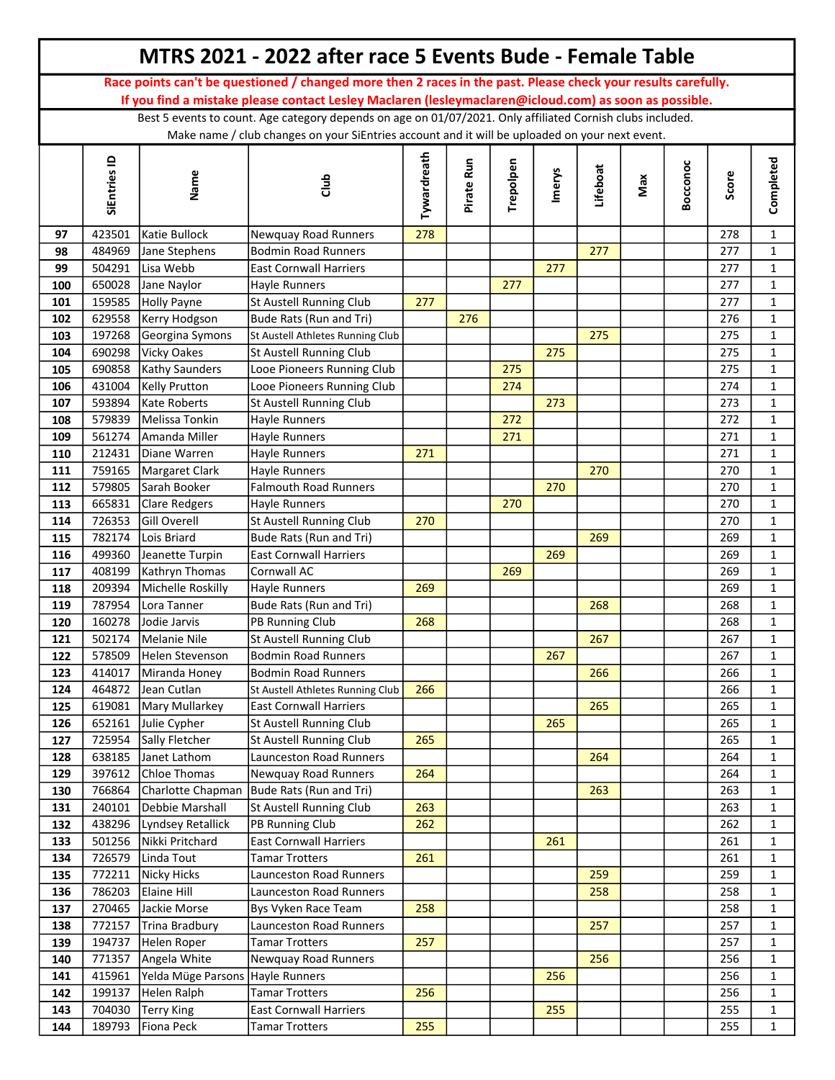|            |                  |                                | MTRS 2021 - 2022 after race 5 Events Bude - Female Table                                                      |             |            |           |               |          |     |          |            |                              |
|------------|------------------|--------------------------------|---------------------------------------------------------------------------------------------------------------|-------------|------------|-----------|---------------|----------|-----|----------|------------|------------------------------|
|            |                  |                                | Race points can't be questioned / changed more then 2 races in the past. Please check your results carefully. |             |            |           |               |          |     |          |            |                              |
|            |                  |                                | If you find a mistake please contact Lesley Maclaren (lesleymaclaren@icloud.com) as soon as possible.         |             |            |           |               |          |     |          |            |                              |
|            |                  |                                | Best 5 events to count. Age category depends on age on 01/07/2021. Only affiliated Cornish clubs included.    |             |            |           |               |          |     |          |            |                              |
|            |                  |                                | Make name / club changes on your SiEntries account and it will be uploaded on your next event.                |             |            |           |               |          |     |          |            |                              |
|            | SiEntries ID     | Name                           | dub                                                                                                           | Tywardreath | Pirate Run | Trepolpen | <b>Imerys</b> | Lifeboat | Max | Bocconoc | Score      | Completed                    |
| 97         | 423501           | Katie Bullock                  | <b>Newquay Road Runners</b>                                                                                   | 278         |            |           |               |          |     |          | 278        | $\mathbf{1}$                 |
| 98         | 484969           | Jane Stephens                  | <b>Bodmin Road Runners</b>                                                                                    |             |            |           |               | 277      |     |          | 277        | $\mathbf{1}$                 |
| 99         | 504291           | Lisa Webb                      | <b>East Cornwall Harriers</b>                                                                                 |             |            |           | 277           |          |     |          | 277        | $\mathbf{1}$                 |
| 100        | 650028           | Jane Naylor                    | Hayle Runners                                                                                                 |             |            | 277       |               |          |     |          | 277        | $\mathbf{1}$                 |
| 101        | 159585           | Holly Payne                    | St Austell Running Club                                                                                       | 277         |            |           |               |          |     |          | 277        | $\mathbf{1}$                 |
| 102        | 629558           | Kerry Hodgson                  | Bude Rats (Run and Tri)                                                                                       |             | 276        |           |               |          |     |          | 276        | $\mathbf{1}$                 |
| 103        | 197268           | Georgina Symons                | St Austell Athletes Running Club                                                                              |             |            |           |               | 275      |     |          | 275        | $\mathbf{1}$                 |
| 104        | 690298           | Vicky Oakes                    | St Austell Running Club                                                                                       |             |            |           | 275           |          |     |          | 275        | $\mathbf{1}$                 |
| 105        | 690858           | Kathy Saunders                 | Looe Pioneers Running Club                                                                                    |             |            | 275       |               |          |     |          | 275        | $\mathbf{1}$                 |
| 106        | 431004           | Kelly Prutton                  | Looe Pioneers Running Club                                                                                    |             |            | 274       |               |          |     |          | 274        | $\mathbf{1}$                 |
| 107        | 593894           | Kate Roberts                   | St Austell Running Club                                                                                       |             |            |           | 273           |          |     |          | 273        | $\mathbf{1}$                 |
| 108        | 579839           | Melissa Tonkin                 | Hayle Runners                                                                                                 |             |            | 272       |               |          |     |          | 272        | $\mathbf{1}$                 |
| 109        | 561274           | Amanda Miller                  | Hayle Runners                                                                                                 |             |            | 271       |               |          |     |          | 271        | $\mathbf{1}$                 |
| 110        | 212431           | Diane Warren                   | Hayle Runners                                                                                                 | 271         |            |           |               |          |     |          | 271        | $\mathbf{1}$                 |
| 111        | 759165           | Margaret Clark                 | <b>Hayle Runners</b>                                                                                          |             |            |           |               | 270      |     |          | 270        | $\mathbf{1}$                 |
| 112        | 579805           | Sarah Booker                   | <b>Falmouth Road Runners</b>                                                                                  |             |            |           | 270           |          |     |          | 270<br>270 | $\mathbf{1}$<br>$\mathbf{1}$ |
| 113<br>114 | 665831<br>726353 | Clare Redgers<br>Gill Overell  | <b>Hayle Runners</b><br>St Austell Running Club                                                               | 270         |            | 270       |               |          |     |          | 270        | $\mathbf{1}$                 |
| 115        | 782174           | Lois Briard                    | Bude Rats (Run and Tri)                                                                                       |             |            |           |               | 269      |     |          | 269        | $\mathbf{1}$                 |
| 116        | 499360           | Jeanette Turpin                | <b>East Cornwall Harriers</b>                                                                                 |             |            |           | 269           |          |     |          | 269        | $\mathbf{1}$                 |
| 117        | 408199           | Kathryn Thomas                 | Cornwall AC                                                                                                   |             |            | 269       |               |          |     |          | 269        | $\mathbf{1}$                 |
| 118        | 209394           | Michelle Roskilly              | Hayle Runners                                                                                                 | 269         |            |           |               |          |     |          | 269        | $\mathbf{1}$                 |
| 119        | 787954           | Lora Tanner                    | Bude Rats (Run and Tri)                                                                                       |             |            |           |               | 268      |     |          | 268        | $\mathbf{1}$                 |
| 120        | 160278           | Jodie Jarvis                   | PB Running Club                                                                                               | 268         |            |           |               |          |     |          | 268        | $\mathbf{1}$                 |
| 121        | 502174           | Melanie Nile                   | St Austell Running Club                                                                                       |             |            |           |               | 267      |     |          | 267        | $\mathbf{1}$                 |
| 122        | 578509           | Helen Stevenson                | Bodmin Road Runners                                                                                           |             |            |           | 267           |          |     |          | 267        | 1                            |
| 123        | 414017           | Miranda Honey                  | <b>Bodmin Road Runners</b>                                                                                    |             |            |           |               | 266      |     |          | 266        | $\mathbf 1$                  |
| 124        | 464872           | Jean Cutlan                    | St Austell Athletes Running Club                                                                              | 266         |            |           |               |          |     |          | 266        | $\mathbf{1}$                 |
| 125        | 619081           | Mary Mullarkey                 | <b>East Cornwall Harriers</b>                                                                                 |             |            |           |               | 265      |     |          | 265        | $\mathbf{1}$                 |
| 126        | 652161           | Julie Cypher                   | St Austell Running Club                                                                                       |             |            |           | 265           |          |     |          | 265        | $\mathbf{1}$                 |
| 127        | 725954           | Sally Fletcher                 | St Austell Running Club                                                                                       | 265         |            |           |               |          |     |          | 265        | $\mathbf{1}$                 |
| 128        | 638185           | Janet Lathom                   | Launceston Road Runners                                                                                       |             |            |           |               | 264      |     |          | 264        | $\mathbf{1}$                 |
| 129        | 397612           | Chloe Thomas                   | <b>Newquay Road Runners</b>                                                                                   | 264         |            |           |               |          |     |          | 264        | $\mathbf{1}$                 |
| 130        | 766864           |                                | Charlotte Chapman Bude Rats (Run and Tri)                                                                     |             |            |           |               | 263      |     |          | 263        | $\mathbf{1}$                 |
| 131        | 240101           | Debbie Marshall                | St Austell Running Club                                                                                       | 263         |            |           |               |          |     |          | 263        | $\mathbf{1}$                 |
| 132        | 438296           | Lyndsey Retallick              | PB Running Club                                                                                               | 262         |            |           |               |          |     |          | 262        | $\mathbf{1}$                 |
| 133        | 501256           | Nikki Pritchard                | <b>East Cornwall Harriers</b>                                                                                 |             |            |           | 261           |          |     |          | 261        | $\mathbf 1$                  |
| 134        | 726579           | Linda Tout                     | <b>Tamar Trotters</b>                                                                                         | 261         |            |           |               |          |     |          | 261        | $\mathbf{1}$                 |
| 135        | 772211           | Nicky Hicks                    | Launceston Road Runners                                                                                       |             |            |           |               | 259      |     |          | 259        | $\mathbf{1}$                 |
| 136        | 786203           | Elaine Hill                    | <b>Launceston Road Runners</b>                                                                                |             |            |           |               | 258      |     |          | 258        | $\mathbf{1}$                 |
| 137<br>138 | 270465<br>772157 | Jackie Morse<br>Trina Bradbury | Bys Vyken Race Team<br>Launceston Road Runners                                                                | 258         |            |           |               | 257      |     |          | 258<br>257 | $\mathbf{1}$<br>$\mathbf{1}$ |
| 139        | 194737           | Helen Roper                    | <b>Tamar Trotters</b>                                                                                         | 257         |            |           |               |          |     |          | 257        | $\mathbf{1}$                 |
| 140        | 771357           | Angela White                   | <b>Newquay Road Runners</b>                                                                                   |             |            |           |               | 256      |     |          | 256        | $\mathbf{1}$                 |
| 141        | 415961           | Yelda Müge Parsons             | Hayle Runners                                                                                                 |             |            |           | 256           |          |     |          | 256        | $\mathbf{1}$                 |
| 142        | 199137           | Helen Ralph                    | <b>Tamar Trotters</b>                                                                                         | 256         |            |           |               |          |     |          | 256        | $\mathbf{1}$                 |
| 143        | 704030           | Terry King                     | <b>East Cornwall Harriers</b>                                                                                 |             |            |           | 255           |          |     |          | 255        | $\mathbf{1}$                 |
| 144        | 189793           | Fiona Peck                     | <b>Tamar Trotters</b>                                                                                         | 255         |            |           |               |          |     |          | 255        | $\mathbf{1}$                 |
|            |                  |                                |                                                                                                               |             |            |           |               |          |     |          |            |                              |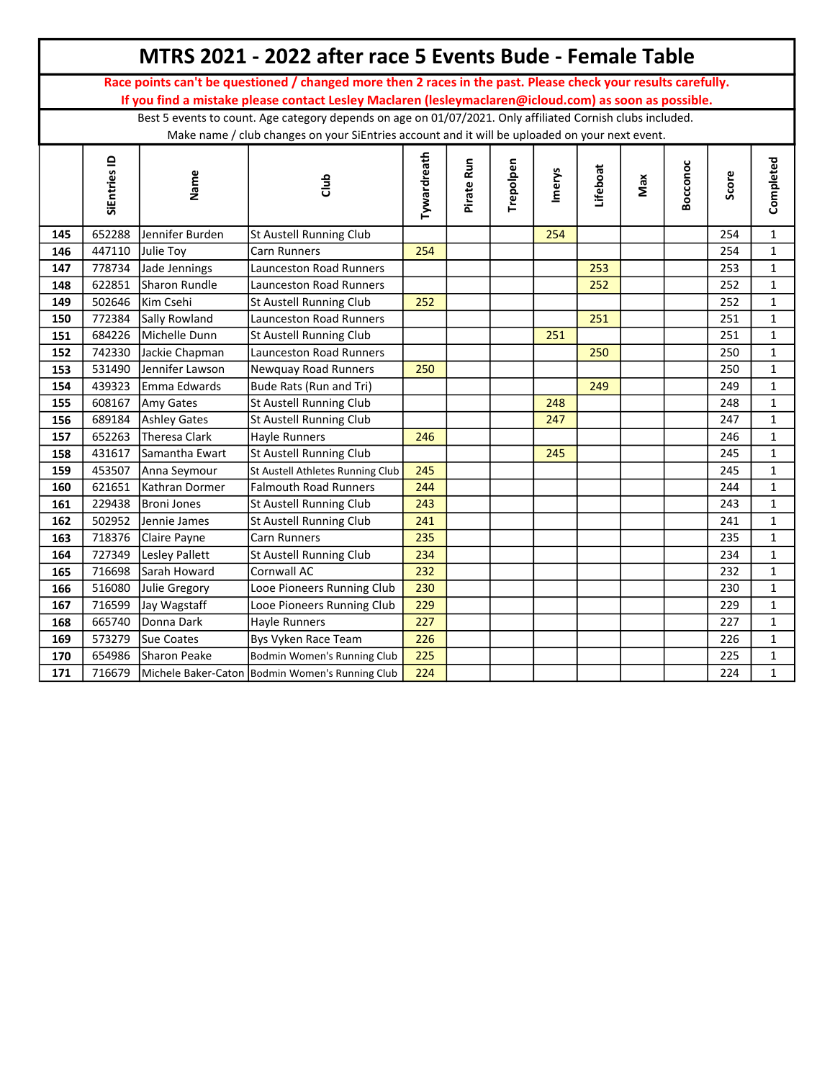| Race points can't be questioned / changed more then 2 races in the past. Please check your results carefully.<br>If you find a mistake please contact Lesley Maclaren (lesleymaclaren@icloud.com) as soon as possible.<br>Best 5 events to count. Age category depends on age on 01/07/2021. Only affiliated Cornish clubs included.<br>Make name / club changes on your SiEntries account and it will be uploaded on your next event.<br>Tywardreath<br>SiEntries ID<br>Completed<br>Pirate Run<br>Trepolpen<br>Bocconoc<br>Lifeboat<br>Imerys<br>Name<br>Score<br>Max<br>dub<br>Jennifer Burden<br>652288<br>St Austell Running Club<br>254<br>$\mathbf{1}$<br>145<br>254<br>$\mathbf{1}$<br>146<br>447110<br>254<br>254<br>Julie Toy<br><b>Carn Runners</b><br>778734<br>Launceston Road Runners<br>$\mathbf{1}$<br>147<br>Jade Jennings<br>253<br>253<br>$\mathbf 1$<br>Sharon Rundle<br>Launceston Road Runners<br>252<br>252<br>622851<br>148<br>502646<br>Kim Csehi<br>252<br>252<br>$\mathbf{1}$<br>149<br>St Austell Running Club<br>Launceston Road Runners<br>$\mathbf{1}$<br>772384<br>Sally Rowland<br>251<br>251<br>150<br>684226<br>Michelle Dunn<br>251<br>$\mathbf{1}$<br>151<br>St Austell Running Club<br>251<br>742330<br>Jackie Chapman<br>Launceston Road Runners<br>250<br>$\mathbf{1}$<br>152<br>250<br>$\mathbf{1}$<br>153<br>531490<br>Jennifer Lawson<br>Newquay Road Runners<br>250<br>250<br>Emma Edwards<br>$\mathbf{1}$<br>439323<br>Bude Rats (Run and Tri)<br>249<br>249<br>154<br>$\mathbf{1}$<br>608167<br>Amy Gates<br>St Austell Running Club<br>248<br>155<br>248<br>$\mathbf{1}$<br>689184<br>247<br>247<br>156<br><b>Ashley Gates</b><br>St Austell Running Club<br>$\mathbf 1$<br>652263<br>246<br>246<br>157<br><b>Theresa Clark</b><br><b>Hayle Runners</b><br>$\mathbf 1$<br>St Austell Running Club<br>245<br>431617<br>Samantha Ewart<br>245<br>158<br>245<br>$\mathbf{1}$<br>159<br>453507<br>Anna Seymour<br>245<br>St Austell Athletes Running Club<br>Falmouth Road Runners<br>244<br>244<br>$\mathbf{1}$<br>160<br>621651<br>Kathran Dormer<br>243<br>$\mathbf{1}$<br>229438<br>Broni Jones<br>St Austell Running Club<br>243<br>161<br>502952<br>241<br>241<br>$\mathbf 1$<br>162<br>Jennie James<br>St Austell Running Club<br>$\mathbf 1$<br>718376<br>235<br>235<br>163<br>Claire Payne<br><b>Carn Runners</b> |
|-----------------------------------------------------------------------------------------------------------------------------------------------------------------------------------------------------------------------------------------------------------------------------------------------------------------------------------------------------------------------------------------------------------------------------------------------------------------------------------------------------------------------------------------------------------------------------------------------------------------------------------------------------------------------------------------------------------------------------------------------------------------------------------------------------------------------------------------------------------------------------------------------------------------------------------------------------------------------------------------------------------------------------------------------------------------------------------------------------------------------------------------------------------------------------------------------------------------------------------------------------------------------------------------------------------------------------------------------------------------------------------------------------------------------------------------------------------------------------------------------------------------------------------------------------------------------------------------------------------------------------------------------------------------------------------------------------------------------------------------------------------------------------------------------------------------------------------------------------------------------------------------------------------------------------------------------------------------------------------------------------------------------------------------------------------------------------------------------------------------------------------------------------------------------------------------------------------------------------------------------------------------------------------------------------------------------------------------------------------------------|
|                                                                                                                                                                                                                                                                                                                                                                                                                                                                                                                                                                                                                                                                                                                                                                                                                                                                                                                                                                                                                                                                                                                                                                                                                                                                                                                                                                                                                                                                                                                                                                                                                                                                                                                                                                                                                                                                                                                                                                                                                                                                                                                                                                                                                                                                                                                                                                       |
|                                                                                                                                                                                                                                                                                                                                                                                                                                                                                                                                                                                                                                                                                                                                                                                                                                                                                                                                                                                                                                                                                                                                                                                                                                                                                                                                                                                                                                                                                                                                                                                                                                                                                                                                                                                                                                                                                                                                                                                                                                                                                                                                                                                                                                                                                                                                                                       |
|                                                                                                                                                                                                                                                                                                                                                                                                                                                                                                                                                                                                                                                                                                                                                                                                                                                                                                                                                                                                                                                                                                                                                                                                                                                                                                                                                                                                                                                                                                                                                                                                                                                                                                                                                                                                                                                                                                                                                                                                                                                                                                                                                                                                                                                                                                                                                                       |
|                                                                                                                                                                                                                                                                                                                                                                                                                                                                                                                                                                                                                                                                                                                                                                                                                                                                                                                                                                                                                                                                                                                                                                                                                                                                                                                                                                                                                                                                                                                                                                                                                                                                                                                                                                                                                                                                                                                                                                                                                                                                                                                                                                                                                                                                                                                                                                       |
|                                                                                                                                                                                                                                                                                                                                                                                                                                                                                                                                                                                                                                                                                                                                                                                                                                                                                                                                                                                                                                                                                                                                                                                                                                                                                                                                                                                                                                                                                                                                                                                                                                                                                                                                                                                                                                                                                                                                                                                                                                                                                                                                                                                                                                                                                                                                                                       |
|                                                                                                                                                                                                                                                                                                                                                                                                                                                                                                                                                                                                                                                                                                                                                                                                                                                                                                                                                                                                                                                                                                                                                                                                                                                                                                                                                                                                                                                                                                                                                                                                                                                                                                                                                                                                                                                                                                                                                                                                                                                                                                                                                                                                                                                                                                                                                                       |
|                                                                                                                                                                                                                                                                                                                                                                                                                                                                                                                                                                                                                                                                                                                                                                                                                                                                                                                                                                                                                                                                                                                                                                                                                                                                                                                                                                                                                                                                                                                                                                                                                                                                                                                                                                                                                                                                                                                                                                                                                                                                                                                                                                                                                                                                                                                                                                       |
|                                                                                                                                                                                                                                                                                                                                                                                                                                                                                                                                                                                                                                                                                                                                                                                                                                                                                                                                                                                                                                                                                                                                                                                                                                                                                                                                                                                                                                                                                                                                                                                                                                                                                                                                                                                                                                                                                                                                                                                                                                                                                                                                                                                                                                                                                                                                                                       |
|                                                                                                                                                                                                                                                                                                                                                                                                                                                                                                                                                                                                                                                                                                                                                                                                                                                                                                                                                                                                                                                                                                                                                                                                                                                                                                                                                                                                                                                                                                                                                                                                                                                                                                                                                                                                                                                                                                                                                                                                                                                                                                                                                                                                                                                                                                                                                                       |
|                                                                                                                                                                                                                                                                                                                                                                                                                                                                                                                                                                                                                                                                                                                                                                                                                                                                                                                                                                                                                                                                                                                                                                                                                                                                                                                                                                                                                                                                                                                                                                                                                                                                                                                                                                                                                                                                                                                                                                                                                                                                                                                                                                                                                                                                                                                                                                       |
|                                                                                                                                                                                                                                                                                                                                                                                                                                                                                                                                                                                                                                                                                                                                                                                                                                                                                                                                                                                                                                                                                                                                                                                                                                                                                                                                                                                                                                                                                                                                                                                                                                                                                                                                                                                                                                                                                                                                                                                                                                                                                                                                                                                                                                                                                                                                                                       |
|                                                                                                                                                                                                                                                                                                                                                                                                                                                                                                                                                                                                                                                                                                                                                                                                                                                                                                                                                                                                                                                                                                                                                                                                                                                                                                                                                                                                                                                                                                                                                                                                                                                                                                                                                                                                                                                                                                                                                                                                                                                                                                                                                                                                                                                                                                                                                                       |
|                                                                                                                                                                                                                                                                                                                                                                                                                                                                                                                                                                                                                                                                                                                                                                                                                                                                                                                                                                                                                                                                                                                                                                                                                                                                                                                                                                                                                                                                                                                                                                                                                                                                                                                                                                                                                                                                                                                                                                                                                                                                                                                                                                                                                                                                                                                                                                       |
|                                                                                                                                                                                                                                                                                                                                                                                                                                                                                                                                                                                                                                                                                                                                                                                                                                                                                                                                                                                                                                                                                                                                                                                                                                                                                                                                                                                                                                                                                                                                                                                                                                                                                                                                                                                                                                                                                                                                                                                                                                                                                                                                                                                                                                                                                                                                                                       |
|                                                                                                                                                                                                                                                                                                                                                                                                                                                                                                                                                                                                                                                                                                                                                                                                                                                                                                                                                                                                                                                                                                                                                                                                                                                                                                                                                                                                                                                                                                                                                                                                                                                                                                                                                                                                                                                                                                                                                                                                                                                                                                                                                                                                                                                                                                                                                                       |
|                                                                                                                                                                                                                                                                                                                                                                                                                                                                                                                                                                                                                                                                                                                                                                                                                                                                                                                                                                                                                                                                                                                                                                                                                                                                                                                                                                                                                                                                                                                                                                                                                                                                                                                                                                                                                                                                                                                                                                                                                                                                                                                                                                                                                                                                                                                                                                       |
|                                                                                                                                                                                                                                                                                                                                                                                                                                                                                                                                                                                                                                                                                                                                                                                                                                                                                                                                                                                                                                                                                                                                                                                                                                                                                                                                                                                                                                                                                                                                                                                                                                                                                                                                                                                                                                                                                                                                                                                                                                                                                                                                                                                                                                                                                                                                                                       |
|                                                                                                                                                                                                                                                                                                                                                                                                                                                                                                                                                                                                                                                                                                                                                                                                                                                                                                                                                                                                                                                                                                                                                                                                                                                                                                                                                                                                                                                                                                                                                                                                                                                                                                                                                                                                                                                                                                                                                                                                                                                                                                                                                                                                                                                                                                                                                                       |
|                                                                                                                                                                                                                                                                                                                                                                                                                                                                                                                                                                                                                                                                                                                                                                                                                                                                                                                                                                                                                                                                                                                                                                                                                                                                                                                                                                                                                                                                                                                                                                                                                                                                                                                                                                                                                                                                                                                                                                                                                                                                                                                                                                                                                                                                                                                                                                       |
|                                                                                                                                                                                                                                                                                                                                                                                                                                                                                                                                                                                                                                                                                                                                                                                                                                                                                                                                                                                                                                                                                                                                                                                                                                                                                                                                                                                                                                                                                                                                                                                                                                                                                                                                                                                                                                                                                                                                                                                                                                                                                                                                                                                                                                                                                                                                                                       |
|                                                                                                                                                                                                                                                                                                                                                                                                                                                                                                                                                                                                                                                                                                                                                                                                                                                                                                                                                                                                                                                                                                                                                                                                                                                                                                                                                                                                                                                                                                                                                                                                                                                                                                                                                                                                                                                                                                                                                                                                                                                                                                                                                                                                                                                                                                                                                                       |
|                                                                                                                                                                                                                                                                                                                                                                                                                                                                                                                                                                                                                                                                                                                                                                                                                                                                                                                                                                                                                                                                                                                                                                                                                                                                                                                                                                                                                                                                                                                                                                                                                                                                                                                                                                                                                                                                                                                                                                                                                                                                                                                                                                                                                                                                                                                                                                       |
|                                                                                                                                                                                                                                                                                                                                                                                                                                                                                                                                                                                                                                                                                                                                                                                                                                                                                                                                                                                                                                                                                                                                                                                                                                                                                                                                                                                                                                                                                                                                                                                                                                                                                                                                                                                                                                                                                                                                                                                                                                                                                                                                                                                                                                                                                                                                                                       |
|                                                                                                                                                                                                                                                                                                                                                                                                                                                                                                                                                                                                                                                                                                                                                                                                                                                                                                                                                                                                                                                                                                                                                                                                                                                                                                                                                                                                                                                                                                                                                                                                                                                                                                                                                                                                                                                                                                                                                                                                                                                                                                                                                                                                                                                                                                                                                                       |
| $\mathbf{1}$<br>164<br>727349<br><b>Lesley Pallett</b><br>St Austell Running Club<br>234<br>234                                                                                                                                                                                                                                                                                                                                                                                                                                                                                                                                                                                                                                                                                                                                                                                                                                                                                                                                                                                                                                                                                                                                                                                                                                                                                                                                                                                                                                                                                                                                                                                                                                                                                                                                                                                                                                                                                                                                                                                                                                                                                                                                                                                                                                                                       |
| 232<br>$\mathbf{1}$<br>716698<br>Sarah Howard<br>Cornwall AC<br>232<br>165                                                                                                                                                                                                                                                                                                                                                                                                                                                                                                                                                                                                                                                                                                                                                                                                                                                                                                                                                                                                                                                                                                                                                                                                                                                                                                                                                                                                                                                                                                                                                                                                                                                                                                                                                                                                                                                                                                                                                                                                                                                                                                                                                                                                                                                                                            |
| $\mathbf{1}$<br>166<br>516080<br>Looe Pioneers Running Club<br>230<br>230<br>Julie Gregory                                                                                                                                                                                                                                                                                                                                                                                                                                                                                                                                                                                                                                                                                                                                                                                                                                                                                                                                                                                                                                                                                                                                                                                                                                                                                                                                                                                                                                                                                                                                                                                                                                                                                                                                                                                                                                                                                                                                                                                                                                                                                                                                                                                                                                                                            |
| 716599<br>Jay Wagstaff<br>229<br>229<br>$\mathbf{1}$<br>167<br>Looe Pioneers Running Club                                                                                                                                                                                                                                                                                                                                                                                                                                                                                                                                                                                                                                                                                                                                                                                                                                                                                                                                                                                                                                                                                                                                                                                                                                                                                                                                                                                                                                                                                                                                                                                                                                                                                                                                                                                                                                                                                                                                                                                                                                                                                                                                                                                                                                                                             |
| $\mathbf 1$<br>665740<br>Donna Dark<br>Hayle Runners<br>227<br>168<br>227                                                                                                                                                                                                                                                                                                                                                                                                                                                                                                                                                                                                                                                                                                                                                                                                                                                                                                                                                                                                                                                                                                                                                                                                                                                                                                                                                                                                                                                                                                                                                                                                                                                                                                                                                                                                                                                                                                                                                                                                                                                                                                                                                                                                                                                                                             |
| $\mathbf{1}$<br>169<br>573279<br>Sue Coates<br>Bys Vyken Race Team<br>226<br>226                                                                                                                                                                                                                                                                                                                                                                                                                                                                                                                                                                                                                                                                                                                                                                                                                                                                                                                                                                                                                                                                                                                                                                                                                                                                                                                                                                                                                                                                                                                                                                                                                                                                                                                                                                                                                                                                                                                                                                                                                                                                                                                                                                                                                                                                                      |
| 225<br>$\mathbf{1}$<br>170<br>654986<br>Sharon Peake<br>225<br>Bodmin Women's Running Club                                                                                                                                                                                                                                                                                                                                                                                                                                                                                                                                                                                                                                                                                                                                                                                                                                                                                                                                                                                                                                                                                                                                                                                                                                                                                                                                                                                                                                                                                                                                                                                                                                                                                                                                                                                                                                                                                                                                                                                                                                                                                                                                                                                                                                                                            |
| 716679<br>224<br>$\mathbf{1}$<br>171<br>Michele Baker-Caton Bodmin Women's Running Club<br>224                                                                                                                                                                                                                                                                                                                                                                                                                                                                                                                                                                                                                                                                                                                                                                                                                                                                                                                                                                                                                                                                                                                                                                                                                                                                                                                                                                                                                                                                                                                                                                                                                                                                                                                                                                                                                                                                                                                                                                                                                                                                                                                                                                                                                                                                        |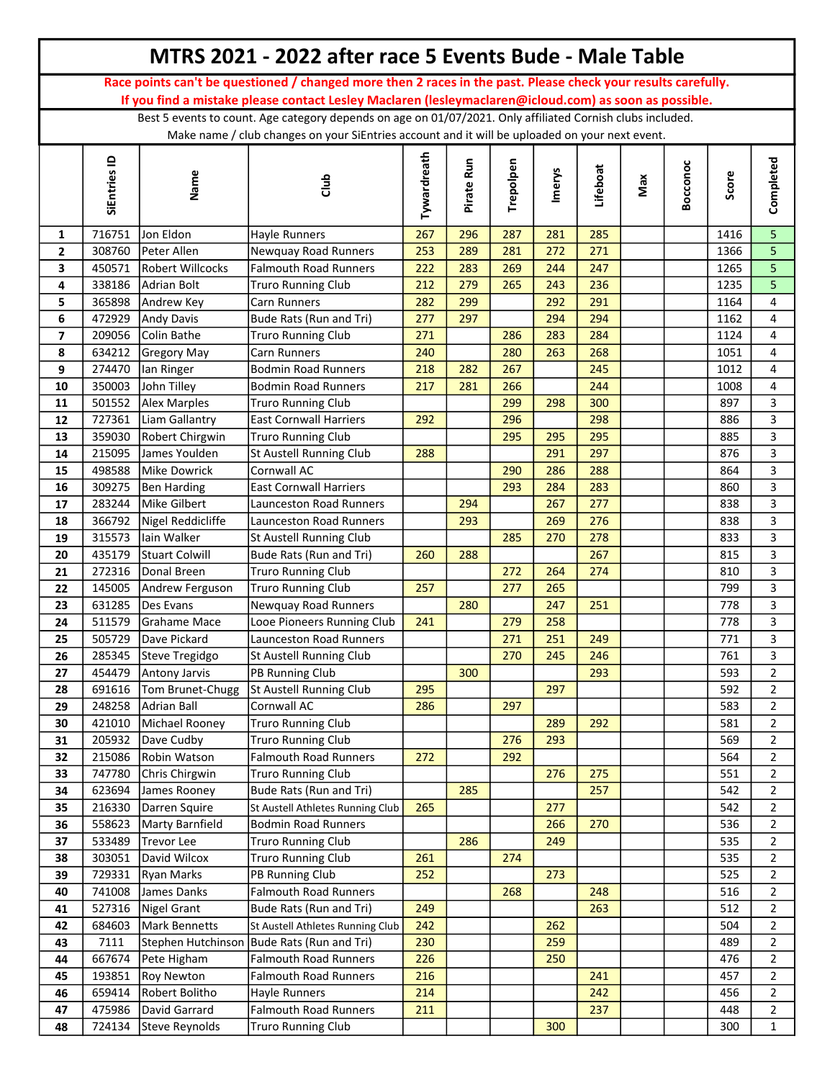|                          |                  |                                 | MTRS 2021 - 2022 after race 5 Events Bude - Male Table                                                        |             |            |           |            |            |     |          |            |                               |
|--------------------------|------------------|---------------------------------|---------------------------------------------------------------------------------------------------------------|-------------|------------|-----------|------------|------------|-----|----------|------------|-------------------------------|
|                          |                  |                                 | Race points can't be questioned / changed more then 2 races in the past. Please check your results carefully. |             |            |           |            |            |     |          |            |                               |
|                          |                  |                                 | If you find a mistake please contact Lesley Maclaren (lesleymaclaren@icloud.com) as soon as possible.         |             |            |           |            |            |     |          |            |                               |
|                          |                  |                                 | Best 5 events to count. Age category depends on age on 01/07/2021. Only affiliated Cornish clubs included.    |             |            |           |            |            |     |          |            |                               |
|                          |                  |                                 | Make name / club changes on your SiEntries account and it will be uploaded on your next event.                |             |            |           |            |            |     |          |            |                               |
|                          | SiEntries ID     | Name                            | dub                                                                                                           | Tywardreath | Pirate Run | Trepolpen | Imerys     | Lifeboat   | Max | Bocconoc | Score      | Completed                     |
| 1                        | 716751           | Jon Eldon                       | Hayle Runners                                                                                                 | 267         | 296        | 287       | 281        | 285        |     |          | 1416       | 5                             |
| $\mathbf{2}$             | 308760           | Peter Allen                     | Newquay Road Runners                                                                                          | 253         | 289        | 281       | 272        | 271        |     |          | 1366       | 5                             |
| 3                        | 450571           | <b>Robert Willcocks</b>         | <b>Falmouth Road Runners</b>                                                                                  | 222         | 283        | 269       | 244        | 247        |     |          | 1265       | $\overline{5}$                |
| 4                        | 338186           | Adrian Bolt                     | <b>Truro Running Club</b>                                                                                     | 212         | 279        | 265       | 243        | 236        |     |          | 1235       | 5                             |
| 5                        | 365898           | Andrew Key                      | Carn Runners                                                                                                  | 282         | 299        |           | 292        | 291        |     |          | 1164       | $\overline{4}$                |
| 6                        | 472929           | Andy Davis                      | Bude Rats (Run and Tri)                                                                                       | 277         | 297        |           | 294        | 294        |     |          | 1162       | 4                             |
| $\overline{\phantom{a}}$ | 209056           | <b>Colin Bathe</b>              | <b>Truro Running Club</b>                                                                                     | 271         |            | 286       | 283        | 284        |     |          | 1124       | 4                             |
| 8                        | 634212           | Gregory May                     | <b>Carn Runners</b>                                                                                           | 240         |            | 280       | 263        | 268        |     |          | 1051       | 4                             |
| 9                        | 274470           | lan Ringer                      | <b>Bodmin Road Runners</b>                                                                                    | 218         | 282        | 267       |            | 245        |     |          | 1012       | 4                             |
| 10                       | 350003           | John Tilley                     | <b>Bodmin Road Runners</b>                                                                                    | 217         | 281        | 266       |            | 244        |     |          | 1008       | 4                             |
| 11                       | 501552           | Alex Marples                    | <b>Truro Running Club</b>                                                                                     |             |            | 299       | 298        | 300        |     |          | 897        | 3                             |
| 12                       | 727361           | Liam Gallantry                  | <b>East Cornwall Harriers</b>                                                                                 | 292         |            | 296       |            | 298        |     |          | 886        | 3                             |
| 13                       | 359030           | Robert Chirgwin                 | Truro Running Club                                                                                            |             |            | 295       | 295        | 295        |     |          | 885        | 3<br>3                        |
| 14                       | 215095<br>498588 | James Youlden<br>Mike Dowrick   | St Austell Running Club<br>Cornwall AC                                                                        | 288         |            | 290       | 291<br>286 | 297<br>288 |     |          | 876<br>864 | $\mathbf{3}$                  |
| 15<br>16                 | 309275           | <b>Ben Harding</b>              | <b>East Cornwall Harriers</b>                                                                                 |             |            | 293       | 284        | 283        |     |          | 860        | $\mathbf{3}$                  |
| 17                       | 283244           | Mike Gilbert                    | <b>Launceston Road Runners</b>                                                                                |             | 294        |           | 267        | 277        |     |          | 838        | 3                             |
| 18                       | 366792           | Nigel Reddicliffe               | Launceston Road Runners                                                                                       |             | 293        |           | 269        | 276        |     |          | 838        | 3                             |
| 19                       | 315573           | Iain Walker                     | <b>St Austell Running Club</b>                                                                                |             |            | 285       | 270        | 278        |     |          | 833        | 3                             |
| 20                       | 435179           | <b>Stuart Colwill</b>           | Bude Rats (Run and Tri)                                                                                       | 260         | 288        |           |            | 267        |     |          | 815        | 3                             |
| 21                       | 272316           | Donal Breen                     | <b>Truro Running Club</b>                                                                                     |             |            | 272       | 264        | 274        |     |          | 810        | $\overline{3}$                |
| 22                       | 145005           | Andrew Ferguson                 | <b>Truro Running Club</b>                                                                                     | 257         |            | 277       | 265        |            |     |          | 799        | 3                             |
| 23                       | 631285           | Des Evans                       | Newquay Road Runners                                                                                          |             | 280        |           | 247        | 251        |     |          | 778        | $\mathsf 3$                   |
| 24                       | 511579           | Grahame Mace                    | Looe Pioneers Running Club                                                                                    | 241         |            | 279       | 258        |            |     |          | 778        | $\mathbf{3}$                  |
| 25                       | 505729           | Dave Pickard                    | <b>Launceston Road Runners</b>                                                                                |             |            | 271       | 251        | 249        |     |          | 771        | 3                             |
| 26                       | 285345           | Steve Tregidgo                  | St Austell Running Club                                                                                       |             |            | 270       | 245        | 246        |     |          | 761        | 3                             |
| 27                       | 454479           | Antony Jarvis                   | PB Running Club                                                                                               |             | 300        |           |            | 293        |     |          | 593        | $\mathbf 2$                   |
| 28                       | 691616           | Tom Brunet-Chugg                | St Austell Running Club                                                                                       | 295         |            |           | 297        |            |     |          | 592        | $\overline{2}$                |
| 29                       | 248258           | Adrian Ball                     | Cornwall AC                                                                                                   | 286         |            | 297       |            |            |     |          | 583        | $\overline{2}$                |
| 30                       | 421010           | Michael Rooney                  | <b>Truro Running Club</b>                                                                                     |             |            |           | 289        | 292        |     |          | 581        | $\overline{2}$                |
| 31                       | 205932           | Dave Cudby                      | <b>Truro Running Club</b>                                                                                     |             |            | 276       | 293        |            |     |          | 569        | $\overline{2}$                |
| 32                       | 215086           | Robin Watson                    | <b>Falmouth Road Runners</b>                                                                                  | 272         |            | 292       |            |            |     |          | 564        | $\overline{2}$                |
| 33                       | 747780           | Chris Chirgwin                  | <b>Truro Running Club</b>                                                                                     |             |            |           | 276        | 275        |     |          | 551        | $\mathbf 2$                   |
| 34                       | 623694           | James Rooney                    | Bude Rats (Run and Tri)                                                                                       |             | 285        |           |            | 257        |     |          | 542        | $\overline{2}$                |
| 35                       | 216330           | Darren Squire                   | St Austell Athletes Running Club                                                                              | 265         |            |           | 277        |            |     |          | 542        | $\overline{2}$                |
| 36                       | 558623           | Marty Barnfield                 | Bodmin Road Runners                                                                                           |             |            |           | 266        | 270        |     |          | 536        | $\overline{2}$                |
| 37                       | 533489           | Trevor Lee                      | <b>Truro Running Club</b>                                                                                     |             | 286        |           | 249        |            |     |          | 535        | $\overline{2}$                |
| 38                       | 303051           | David Wilcox                    | <b>Truro Running Club</b>                                                                                     | 261         |            | 274       |            |            |     |          | 535        | $\overline{2}$                |
| 39                       | 729331           | Ryan Marks                      | PB Running Club                                                                                               | 252         |            |           | 273        |            |     |          | 525        | $\overline{2}$                |
| 40                       | 741008           | James Danks                     | <b>Falmouth Road Runners</b>                                                                                  |             |            | 268       |            | 248        |     |          | 516        | $\overline{2}$                |
| 41                       | 527316           | Nigel Grant                     | Bude Rats (Run and Tri)                                                                                       | 249         |            |           |            | 263        |     |          | 512        | $\overline{2}$                |
| 42                       | 684603           | Mark Bennetts                   | St Austell Athletes Running Club                                                                              | 242         |            |           | 262        |            |     |          | 504        | $\overline{2}$                |
| 43                       | 7111             | Stephen Hutchinson              | Bude Rats (Run and Tri)                                                                                       | 230         |            |           | 259        |            |     |          | 489        | $\overline{2}$                |
| 44                       | 667674           | Pete Higham                     | <b>Falmouth Road Runners</b>                                                                                  | 226         |            |           | 250        |            |     |          | 476        | $\overline{2}$                |
| 45                       | 193851           | <b>Roy Newton</b>               | <b>Falmouth Road Runners</b>                                                                                  | 216         |            |           |            | 241        |     |          | 457        | $\overline{2}$                |
| 46<br>47                 | 659414<br>475986 | Robert Bolitho<br>David Garrard | Hayle Runners<br><b>Falmouth Road Runners</b>                                                                 | 214         |            |           |            | 242<br>237 |     |          | 456<br>448 | $\overline{2}$<br>$\mathbf 2$ |
| 48                       | 724134           | Steve Reynolds                  | <b>Truro Running Club</b>                                                                                     | 211         |            |           | 300        |            |     |          | 300        | $\mathbf{1}$                  |
|                          |                  |                                 |                                                                                                               |             |            |           |            |            |     |          |            |                               |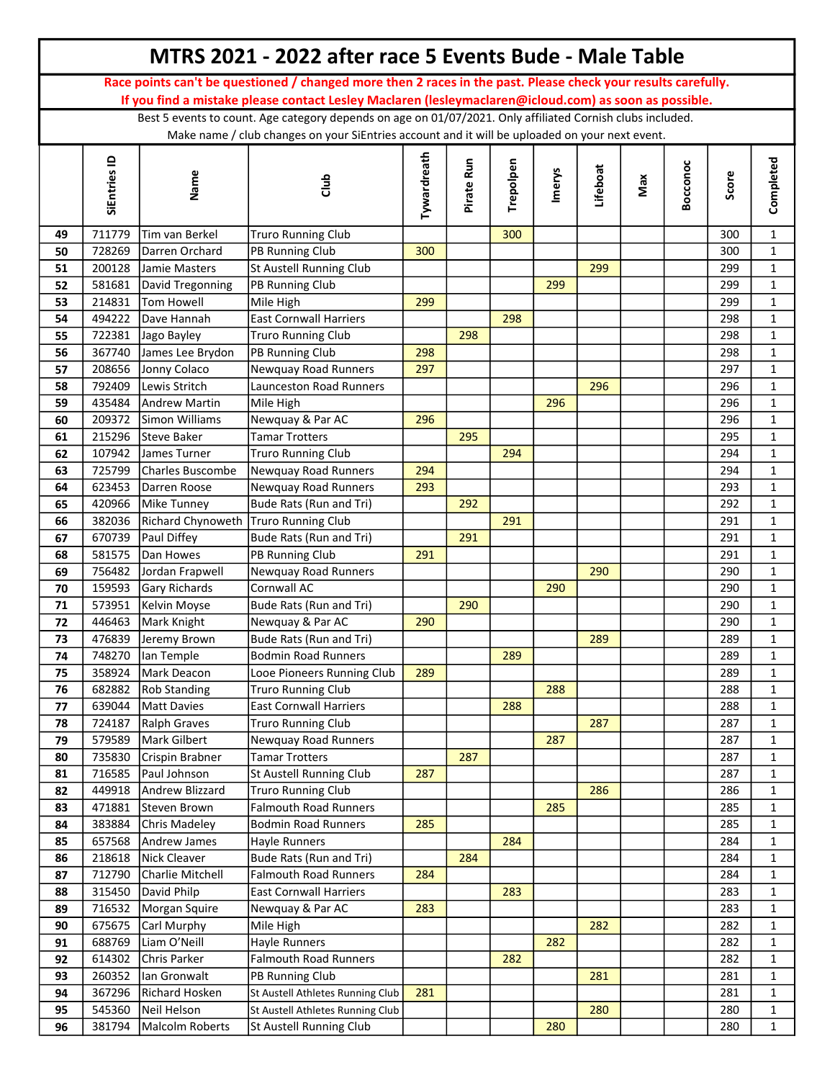|    |              |                                      | MTRS 2021 - 2022 after race 5 Events Bude - Male Table                                                        |             |            |           |               |          |     |          |       |              |
|----|--------------|--------------------------------------|---------------------------------------------------------------------------------------------------------------|-------------|------------|-----------|---------------|----------|-----|----------|-------|--------------|
|    |              |                                      | Race points can't be questioned / changed more then 2 races in the past. Please check your results carefully. |             |            |           |               |          |     |          |       |              |
|    |              |                                      | If you find a mistake please contact Lesley Maclaren (lesleymaclaren@icloud.com) as soon as possible.         |             |            |           |               |          |     |          |       |              |
|    |              |                                      | Best 5 events to count. Age category depends on age on 01/07/2021. Only affiliated Cornish clubs included.    |             |            |           |               |          |     |          |       |              |
|    |              |                                      | Make name / club changes on your SiEntries account and it will be uploaded on your next event.                |             |            |           |               |          |     |          |       |              |
|    | SiEntries ID | Name                                 | dub                                                                                                           | Tywardreath | Pirate Run | Trepolpen | <b>Imerys</b> | Lifeboat | Max | Bocconoc | Score | Completed    |
| 49 | 711779       | Tim van Berkel                       | <b>Truro Running Club</b>                                                                                     |             |            | 300       |               |          |     |          | 300   | $\mathbf{1}$ |
| 50 | 728269       | Darren Orchard                       | PB Running Club                                                                                               | 300         |            |           |               |          |     |          | 300   | $\mathbf{1}$ |
| 51 | 200128       | Jamie Masters                        | St Austell Running Club                                                                                       |             |            |           |               | 299      |     |          | 299   | $\mathbf{1}$ |
| 52 | 581681       | David Tregonning                     | PB Running Club                                                                                               |             |            |           | 299           |          |     |          | 299   | $\mathbf{1}$ |
| 53 | 214831       | Tom Howell                           | Mile High                                                                                                     | 299         |            |           |               |          |     |          | 299   | $\mathbf{1}$ |
| 54 | 494222       | Dave Hannah                          | <b>East Cornwall Harriers</b>                                                                                 |             |            | 298       |               |          |     |          | 298   | $\mathbf{1}$ |
| 55 | 722381       | Jago Bayley                          | <b>Truro Running Club</b>                                                                                     |             | 298        |           |               |          |     |          | 298   | $\mathbf{1}$ |
| 56 | 367740       | James Lee Brydon                     | PB Running Club                                                                                               | 298         |            |           |               |          |     |          | 298   | $\mathbf{1}$ |
| 57 | 208656       | Jonny Colaco                         | <b>Newquay Road Runners</b>                                                                                   | 297         |            |           |               |          |     |          | 297   | $\mathbf{1}$ |
| 58 | 792409       | Lewis Stritch                        | Launceston Road Runners                                                                                       |             |            |           |               | 296      |     |          | 296   | $\mathbf{1}$ |
| 59 | 435484       | Andrew Martin                        | Mile High                                                                                                     |             |            |           | 296           |          |     |          | 296   | $\mathbf{1}$ |
| 60 | 209372       | Simon Williams                       | Newquay & Par AC                                                                                              | 296         |            |           |               |          |     |          | 296   | $\mathbf{1}$ |
| 61 | 215296       | Steve Baker                          | <b>Tamar Trotters</b>                                                                                         |             | 295        |           |               |          |     |          | 295   | $\mathbf{1}$ |
| 62 | 107942       | James Turner                         | <b>Truro Running Club</b>                                                                                     |             |            | 294       |               |          |     |          | 294   | $\mathbf{1}$ |
| 63 | 725799       | Charles Buscombe                     | Newquay Road Runners                                                                                          | 294         |            |           |               |          |     |          | 294   | $\mathbf{1}$ |
| 64 | 623453       | Darren Roose                         | Newquay Road Runners                                                                                          | 293         |            |           |               |          |     |          | 293   | $\mathbf{1}$ |
| 65 | 420966       | Mike Tunney                          | Bude Rats (Run and Tri)                                                                                       |             | 292        |           |               |          |     |          | 292   | $\mathbf{1}$ |
| 66 | 382036       | Richard Chynoweth Truro Running Club |                                                                                                               |             |            | 291       |               |          |     |          | 291   | $\mathbf{1}$ |
| 67 | 670739       | Paul Diffey                          | Bude Rats (Run and Tri)                                                                                       |             | 291        |           |               |          |     |          | 291   | $\mathbf{1}$ |
| 68 | 581575       | Dan Howes                            | PB Running Club                                                                                               | 291         |            |           |               |          |     |          | 291   | $\mathbf{1}$ |
| 69 | 756482       | Jordan Frapwell                      | Newquay Road Runners                                                                                          |             |            |           |               | 290      |     |          | 290   | $\mathbf{1}$ |
| 70 | 159593       | Gary Richards                        | Cornwall AC                                                                                                   |             |            |           | 290           |          |     |          | 290   | $\mathbf{1}$ |
| 71 | 573951       | Kelvin Moyse                         | Bude Rats (Run and Tri)                                                                                       |             | 290        |           |               |          |     |          | 290   | $\mathbf{1}$ |
| 72 | 446463       | Mark Knight                          | Newquay & Par AC                                                                                              | 290         |            |           |               |          |     |          | 290   | $\mathbf{1}$ |
| 73 | 476839       | Jeremy Brown                         | Bude Rats (Run and Tri)                                                                                       |             |            |           |               | 289      |     |          | 289   | $\mathbf{1}$ |
| 74 | 748270       | lan Temple                           | <b>Bodmin Road Runners</b>                                                                                    |             |            | 289       |               |          |     |          | 289   | 1            |
| 75 | 358924       | Mark Deacon                          | Looe Pioneers Running Club                                                                                    | 289         |            |           |               |          |     |          | 289   | $\mathbf{1}$ |
| 76 | 682882       | <b>Rob Standing</b>                  | <b>Truro Running Club</b>                                                                                     |             |            |           | 288           |          |     |          | 288   | $\mathbf{1}$ |
| 77 | 639044       | Matt Davies                          | <b>East Cornwall Harriers</b>                                                                                 |             |            | 288       |               |          |     |          | 288   | $\mathbf{1}$ |
| 78 | 724187       | Ralph Graves                         | <b>Truro Running Club</b>                                                                                     |             |            |           |               | 287      |     |          | 287   | $\mathbf{1}$ |
| 79 | 579589       | Mark Gilbert                         | Newquay Road Runners                                                                                          |             |            |           | 287           |          |     |          | 287   | $\mathbf{1}$ |
| 80 | 735830       | Crispin Brabner                      | <b>Tamar Trotters</b>                                                                                         |             | 287        |           |               |          |     |          | 287   | $\mathbf{1}$ |
| 81 | 716585       | Paul Johnson                         | St Austell Running Club                                                                                       | 287         |            |           |               |          |     |          | 287   | $\mathbf{1}$ |
| 82 | 449918       | Andrew Blizzard                      | <b>Truro Running Club</b>                                                                                     |             |            |           |               | 286      |     |          | 286   | $\mathbf 1$  |
| 83 | 471881       | Steven Brown                         | <b>Falmouth Road Runners</b>                                                                                  |             |            |           | 285           |          |     |          | 285   | $\mathbf 1$  |
| 84 | 383884       | Chris Madeley                        | <b>Bodmin Road Runners</b>                                                                                    | 285         |            |           |               |          |     |          | 285   | $\mathbf{1}$ |
| 85 | 657568       | Andrew James                         | Hayle Runners                                                                                                 |             |            | 284       |               |          |     |          | 284   | $\mathbf{1}$ |
| 86 | 218618       | Nick Cleaver                         | Bude Rats (Run and Tri)                                                                                       |             | 284        |           |               |          |     |          | 284   | $\mathbf{1}$ |
| 87 | 712790       | Charlie Mitchell                     | <b>Falmouth Road Runners</b>                                                                                  | 284         |            |           |               |          |     |          | 284   | $\mathbf{1}$ |
| 88 | 315450       | David Philp                          | <b>East Cornwall Harriers</b>                                                                                 |             |            | 283       |               |          |     |          | 283   | $\mathbf{1}$ |
| 89 | 716532       | Morgan Squire                        | Newquay & Par AC                                                                                              | 283         |            |           |               |          |     |          | 283   | $\mathbf{1}$ |
| 90 | 675675       | Carl Murphy                          | Mile High                                                                                                     |             |            |           |               | 282      |     |          | 282   | $\mathbf 1$  |
| 91 | 688769       | Liam O'Neill                         | Hayle Runners                                                                                                 |             |            |           | 282           |          |     |          | 282   | $\mathbf{1}$ |
| 92 | 614302       | Chris Parker                         | <b>Falmouth Road Runners</b>                                                                                  |             |            | 282       |               |          |     |          | 282   | $\mathbf{1}$ |
| 93 | 260352       | Ian Gronwalt                         | PB Running Club                                                                                               |             |            |           |               | 281      |     |          | 281   | $\mathbf{1}$ |
| 94 | 367296       | Richard Hosken                       | St Austell Athletes Running Club                                                                              | 281         |            |           |               |          |     |          | 281   | $\mathbf{1}$ |
| 95 | 545360       | Neil Helson                          | St Austell Athletes Running Club                                                                              |             |            |           |               | 280      |     |          | 280   | $\mathbf{1}$ |
| 96 | 381794       | Malcolm Roberts                      | St Austell Running Club                                                                                       |             |            |           | 280           |          |     |          | 280   | $\mathbf{1}$ |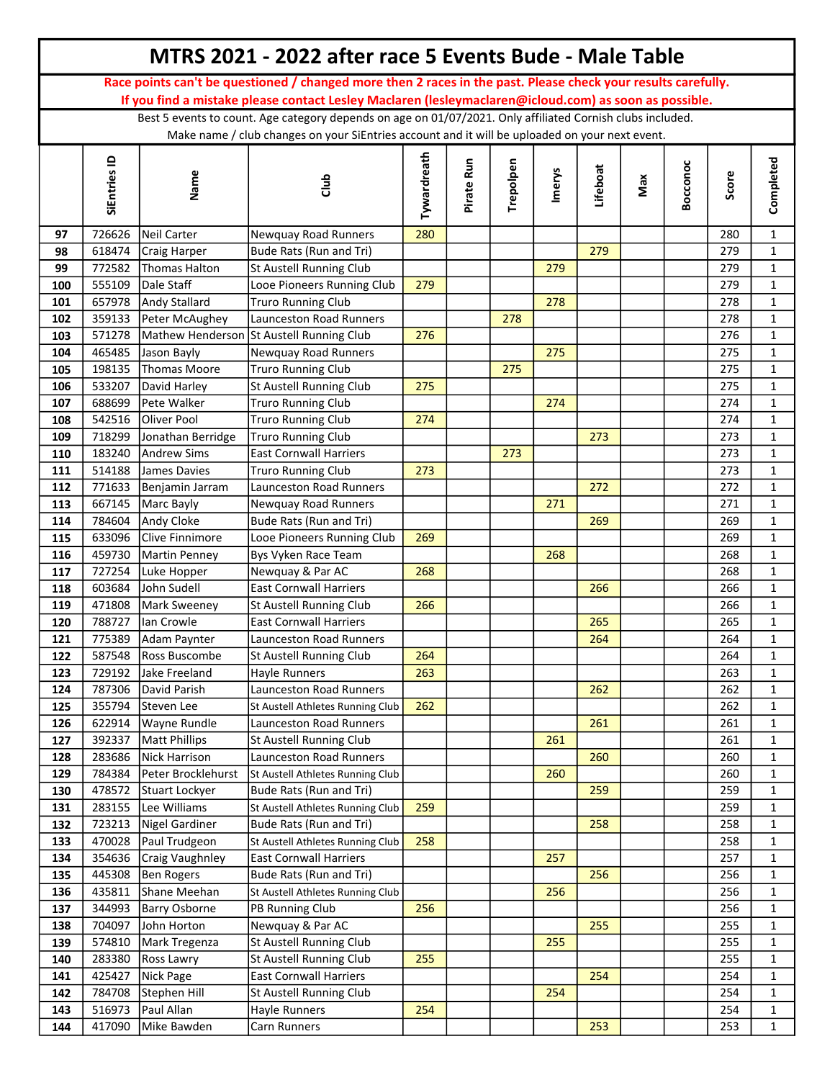|            |                  |                            | MTRS 2021 - 2022 after race 5 Events Bude - Male Table                                                        |             |            |           |               |          |     |          |            |                              |
|------------|------------------|----------------------------|---------------------------------------------------------------------------------------------------------------|-------------|------------|-----------|---------------|----------|-----|----------|------------|------------------------------|
|            |                  |                            | Race points can't be questioned / changed more then 2 races in the past. Please check your results carefully. |             |            |           |               |          |     |          |            |                              |
|            |                  |                            | If you find a mistake please contact Lesley Maclaren (lesleymaclaren@icloud.com) as soon as possible.         |             |            |           |               |          |     |          |            |                              |
|            |                  |                            | Best 5 events to count. Age category depends on age on 01/07/2021. Only affiliated Cornish clubs included.    |             |            |           |               |          |     |          |            |                              |
|            |                  |                            | Make name / club changes on your SiEntries account and it will be uploaded on your next event.                |             |            |           |               |          |     |          |            |                              |
|            | SiEntries ID     | Name                       | dub                                                                                                           | Tywardreath | Pirate Run | Trepolpen | <b>Imerys</b> | Lifeboat | Max | Bocconoc | Score      | Completed                    |
| 97         | 726626           | Neil Carter                | Newquay Road Runners                                                                                          | 280         |            |           |               |          |     |          | 280        | $\mathbf{1}$                 |
| 98         | 618474           | Craig Harper               | Bude Rats (Run and Tri)                                                                                       |             |            |           |               | 279      |     |          | 279        | $\mathbf{1}$                 |
| 99         | 772582           | <b>Thomas Halton</b>       | St Austell Running Club                                                                                       |             |            |           | 279           |          |     |          | 279        | $\mathbf{1}$                 |
| 100        | 555109           | Dale Staff                 | Looe Pioneers Running Club                                                                                    | 279         |            |           |               |          |     |          | 279        | $\mathbf{1}$                 |
| 101        | 657978           | Andy Stallard              | <b>Truro Running Club</b>                                                                                     |             |            |           | 278           |          |     |          | 278        | $\mathbf{1}$                 |
| 102        | 359133           | Peter McAughey             | <b>Launceston Road Runners</b>                                                                                |             |            | 278       |               |          |     |          | 278        | $\mathbf{1}$                 |
| 103        | 571278           |                            | Mathew Henderson St Austell Running Club                                                                      | 276         |            |           |               |          |     |          | 276        | $\mathbf{1}$                 |
| 104        | 465485           | Jason Bayly                | Newquay Road Runners                                                                                          |             |            |           | 275           |          |     |          | 275        | $\mathbf{1}$                 |
| 105        | 198135           | Thomas Moore               | <b>Truro Running Club</b>                                                                                     |             |            | 275       |               |          |     |          | 275        | $\mathbf{1}$                 |
| 106        | 533207           | David Harley               | St Austell Running Club                                                                                       | 275         |            |           |               |          |     |          | 275        | $\mathbf{1}$                 |
| 107        | 688699           | Pete Walker                | <b>Truro Running Club</b>                                                                                     |             |            |           | 274           |          |     |          | 274        | $\mathbf{1}$                 |
| 108        | 542516           | <b>Oliver Pool</b>         | <b>Truro Running Club</b>                                                                                     | 274         |            |           |               |          |     |          | 274        | $\mathbf{1}$                 |
| 109        | 718299           | Jonathan Berridge          | <b>Truro Running Club</b>                                                                                     |             |            |           |               | 273      |     |          | 273        | $\mathbf{1}$                 |
| 110        | 183240           | Andrew Sims                | <b>East Cornwall Harriers</b>                                                                                 |             |            | 273       |               |          |     |          | 273        | $\mathbf{1}$                 |
| 111        | 514188           | James Davies               | <b>Truro Running Club</b>                                                                                     | 273         |            |           |               |          |     |          | 273        | $\mathbf{1}$                 |
| 112        | 771633           | Benjamin Jarram            | <b>Launceston Road Runners</b>                                                                                |             |            |           |               | 272      |     |          | 272        | $\mathbf{1}$                 |
| 113        | 667145           | Marc Bayly                 | Newquay Road Runners                                                                                          |             |            |           | 271           |          |     |          | 271        | $\mathbf{1}$                 |
| 114        | 784604           | Andy Cloke                 | Bude Rats (Run and Tri)                                                                                       |             |            |           |               | 269      |     |          | 269        | $\mathbf{1}$                 |
| 115        | 633096           | Clive Finnimore            | Looe Pioneers Running Club                                                                                    | 269         |            |           |               |          |     |          | 269        | $\mathbf{1}$                 |
| 116        | 459730           | <b>Martin Penney</b>       | Bys Vyken Race Team                                                                                           |             |            |           | 268           |          |     |          | 268        | $\mathbf{1}$                 |
| 117        | 727254           | Luke Hopper                | Newquay & Par AC                                                                                              | 268         |            |           |               |          |     |          | 268        | $\mathbf{1}$                 |
| 118        | 603684           | John Sudell                | <b>East Cornwall Harriers</b>                                                                                 |             |            |           |               | 266      |     |          | 266        | $\mathbf{1}$                 |
| 119<br>120 | 471808<br>788727 | Mark Sweeney<br>lan Crowle | St Austell Running Club<br>East Cornwall Harriers                                                             | 266         |            |           |               | 265      |     |          | 266<br>265 | $\mathbf{1}$<br>$\mathbf{1}$ |
| 121        | 775389           | Adam Paynter               | Launceston Road Runners                                                                                       |             |            |           |               | 264      |     |          | 264        | $\mathbf{1}$                 |
| 122        | 587548           | Ross Buscombe              | St Austell Running Club                                                                                       | 264         |            |           |               |          |     |          | 264        | 1                            |
| 123        | 729192           | Jake Freeland              | Hayle Runners                                                                                                 | 263         |            |           |               |          |     |          | 263        | $\mathbf{1}$                 |
| 124        | 787306           | David Parish               | Launceston Road Runners                                                                                       |             |            |           |               | 262      |     |          | 262        | $\mathbf{1}$                 |
| 125        | 355794           | Steven Lee                 | St Austell Athletes Running Club                                                                              | 262         |            |           |               |          |     |          | 262        | $\mathbf{1}$                 |
| 126        | 622914           | <b>Wayne Rundle</b>        | Launceston Road Runners                                                                                       |             |            |           |               | 261      |     |          | 261        | $\mathbf{1}$                 |
| 127        | 392337           | Matt Phillips              | St Austell Running Club                                                                                       |             |            |           | 261           |          |     |          | 261        | $\mathbf{1}$                 |
| 128        | 283686           | Nick Harrison              | Launceston Road Runners                                                                                       |             |            |           |               | 260      |     |          | 260        | $\mathbf{1}$                 |
| 129        | 784384           | Peter Brocklehurst         | St Austell Athletes Running Club                                                                              |             |            |           | 260           |          |     |          | 260        | $\mathbf{1}$                 |
| 130        | 478572           | Stuart Lockyer             | Bude Rats (Run and Tri)                                                                                       |             |            |           |               | 259      |     |          | 259        | $\mathbf 1$                  |
| 131        | 283155           | Lee Williams               | St Austell Athletes Running Club                                                                              | 259         |            |           |               |          |     |          | 259        | $\mathbf 1$                  |
| 132        | 723213           | Nigel Gardiner             | Bude Rats (Run and Tri)                                                                                       |             |            |           |               | 258      |     |          | 258        | $\mathbf 1$                  |
| 133        | 470028           | Paul Trudgeon              | St Austell Athletes Running Club                                                                              | 258         |            |           |               |          |     |          | 258        | $\mathbf{1}$                 |
| 134        | 354636           | Craig Vaughnley            | <b>East Cornwall Harriers</b>                                                                                 |             |            |           | 257           |          |     |          | 257        | $\mathbf{1}$                 |
| 135        | 445308           | Ben Rogers                 | Bude Rats (Run and Tri)                                                                                       |             |            |           |               | 256      |     |          | 256        | $\mathbf{1}$                 |
| 136        | 435811           | Shane Meehan               | St Austell Athletes Running Club                                                                              |             |            |           | 256           |          |     |          | 256        | $\mathbf 1$                  |
| 137        | 344993           | Barry Osborne              | PB Running Club                                                                                               | 256         |            |           |               |          |     |          | 256        | $\mathbf{1}$                 |
| 138        | 704097           | John Horton                | Newquay & Par AC                                                                                              |             |            |           |               | 255      |     |          | 255        | $\mathbf{1}$                 |
| 139        | 574810           | Mark Tregenza              | St Austell Running Club                                                                                       |             |            |           | 255           |          |     |          | 255        | $\mathbf 1$                  |
| 140        | 283380           | Ross Lawry                 | St Austell Running Club                                                                                       | 255         |            |           |               |          |     |          | 255        | $\mathbf{1}$                 |
| 141        | 425427           | Nick Page                  | <b>East Cornwall Harriers</b>                                                                                 |             |            |           |               | 254      |     |          | 254        | $\mathbf{1}$                 |
| 142        | 784708           | Stephen Hill               | St Austell Running Club                                                                                       |             |            |           | 254           |          |     |          | 254        | $\mathbf{1}$                 |
| 143        | 516973           | Paul Allan                 | Hayle Runners                                                                                                 | 254         |            |           |               |          |     |          | 254        | $\mathbf{1}$                 |
| 144        | 417090           | Mike Bawden                | Carn Runners                                                                                                  |             |            |           |               | 253      |     |          | 253        | $\mathbf{1}$                 |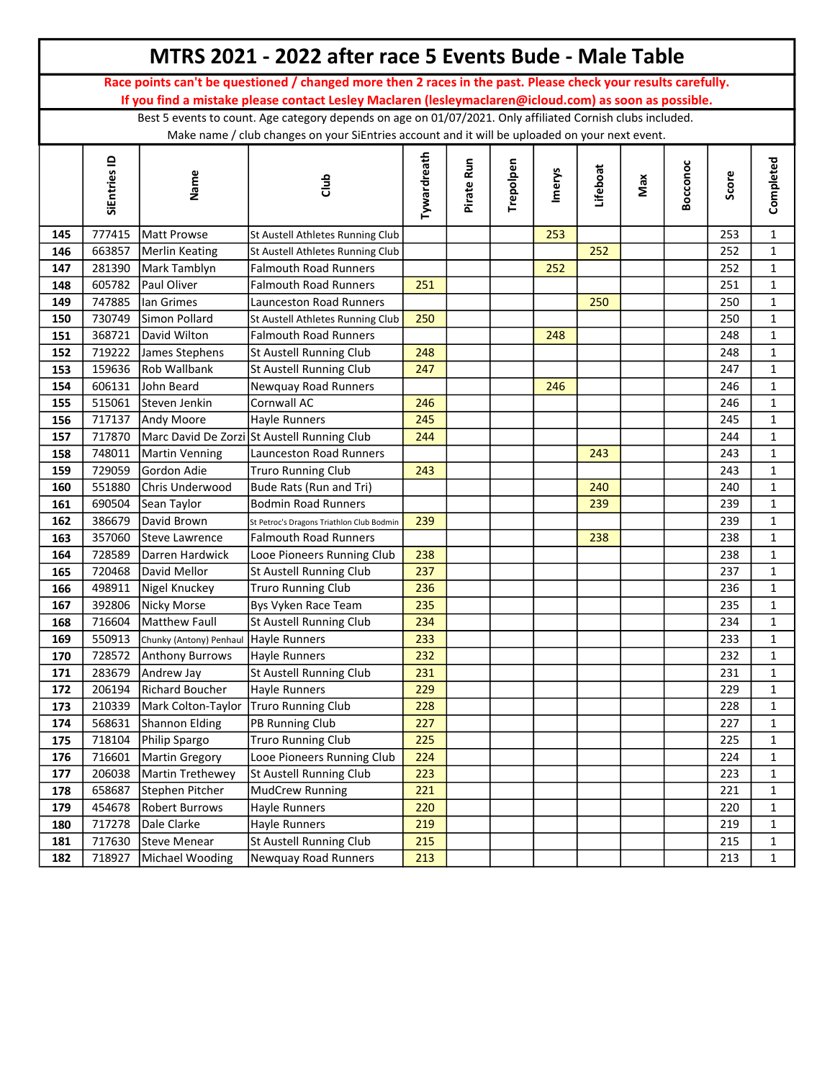|     |              |                                       | MTRS 2021 - 2022 after race 5 Events Bude - Male Table                                                        |             |            |           |               |          |     |          |       |              |
|-----|--------------|---------------------------------------|---------------------------------------------------------------------------------------------------------------|-------------|------------|-----------|---------------|----------|-----|----------|-------|--------------|
|     |              |                                       | Race points can't be questioned / changed more then 2 races in the past. Please check your results carefully. |             |            |           |               |          |     |          |       |              |
|     |              |                                       | If you find a mistake please contact Lesley Maclaren (lesleymaclaren@icloud.com) as soon as possible.         |             |            |           |               |          |     |          |       |              |
|     |              |                                       | Best 5 events to count. Age category depends on age on 01/07/2021. Only affiliated Cornish clubs included.    |             |            |           |               |          |     |          |       |              |
|     |              |                                       | Make name / club changes on your SiEntries account and it will be uploaded on your next event.                |             |            |           |               |          |     |          |       |              |
|     | SiEntries ID | Name                                  | dub                                                                                                           | Tywardreath | Pirate Run | Trepolpen | <b>Imerys</b> | Lifeboat | Max | Bocconoc | Score | Completed    |
| 145 | 777415       | Matt Prowse                           | St Austell Athletes Running Club                                                                              |             |            |           | 253           |          |     |          | 253   | $\mathbf{1}$ |
| 146 | 663857       | Merlin Keating                        | St Austell Athletes Running Club                                                                              |             |            |           |               | 252      |     |          | 252   | $\mathbf{1}$ |
| 147 | 281390       | Mark Tamblyn                          | Falmouth Road Runners                                                                                         |             |            |           | 252           |          |     |          | 252   | $\mathbf{1}$ |
| 148 | 605782       | Paul Oliver                           | <b>Falmouth Road Runners</b>                                                                                  | 251         |            |           |               |          |     |          | 251   | $\mathbf{1}$ |
| 149 | 747885       | lan Grimes                            | <b>Launceston Road Runners</b>                                                                                |             |            |           |               | 250      |     |          | 250   | $\mathbf{1}$ |
| 150 | 730749       | Simon Pollard                         | St Austell Athletes Running Club                                                                              | 250         |            |           |               |          |     |          | 250   | $\mathbf{1}$ |
| 151 | 368721       | David Wilton                          | Falmouth Road Runners                                                                                         |             |            |           | 248           |          |     |          | 248   | $\mathbf{1}$ |
| 152 | 719222       | James Stephens                        | St Austell Running Club                                                                                       | 248         |            |           |               |          |     |          | 248   | $\mathbf{1}$ |
| 153 | 159636       | Rob Wallbank                          | St Austell Running Club                                                                                       | 247         |            |           |               |          |     |          | 247   | $\mathbf{1}$ |
| 154 | 606131       | John Beard                            | Newquay Road Runners                                                                                          |             |            |           | 246           |          |     |          | 246   | $\mathbf{1}$ |
| 155 | 515061       | Steven Jenkin                         | Cornwall AC                                                                                                   | 246         |            |           |               |          |     |          | 246   | $\mathbf{1}$ |
| 156 | 717137       | Andy Moore                            | Hayle Runners                                                                                                 | 245         |            |           |               |          |     |          | 245   | $\mathbf{1}$ |
| 157 | 717870       |                                       | Marc David De Zorzi St Austell Running Club                                                                   | 244         |            |           |               |          |     |          | 244   | $\mathbf{1}$ |
| 158 | 748011       | Martin Venning                        | Launceston Road Runners                                                                                       |             |            |           |               | 243      |     |          | 243   | $\mathbf{1}$ |
| 159 | 729059       | Gordon Adie                           | <b>Truro Running Club</b>                                                                                     | 243         |            |           |               |          |     |          | 243   | $\mathbf{1}$ |
| 160 | 551880       | Chris Underwood                       | Bude Rats (Run and Tri)                                                                                       |             |            |           |               | 240      |     |          | 240   | $\mathbf{1}$ |
| 161 | 690504       | Sean Taylor                           | Bodmin Road Runners                                                                                           |             |            |           |               | 239      |     |          | 239   | $\mathbf{1}$ |
| 162 | 386679       | David Brown                           | St Petroc's Dragons Triathlon Club Bodmin                                                                     | 239         |            |           |               |          |     |          | 239   | $\mathbf{1}$ |
| 163 | 357060       | Steve Lawrence                        | <b>Falmouth Road Runners</b>                                                                                  |             |            |           |               | 238      |     |          | 238   | $\mathbf{1}$ |
| 164 | 728589       | Darren Hardwick                       | Looe Pioneers Running Club                                                                                    | 238         |            |           |               |          |     |          | 238   | $\mathbf{1}$ |
| 165 | 720468       | David Mellor                          | St Austell Running Club                                                                                       | 237         |            |           |               |          |     |          | 237   | $\mathbf{1}$ |
| 166 | 498911       | Nigel Knuckey                         | <b>Truro Running Club</b>                                                                                     | 236         |            |           |               |          |     |          | 236   | $\mathbf{1}$ |
| 167 | 392806       | <b>Nicky Morse</b>                    | Bys Vyken Race Team                                                                                           | 235         |            |           |               |          |     |          | 235   | $\mathbf{1}$ |
| 168 | 716604       | Matthew Faull                         | St Austell Running Club                                                                                       | 234         |            |           |               |          |     |          | 234   | $\mathbf{1}$ |
| 169 | 550913       | Chunky (Antony) Penhaul Hayle Runners |                                                                                                               | 233         |            |           |               |          |     |          | 233   | $\mathbf{1}$ |
| 170 |              | 728572 Anthony Burrows                | Hayle Runners                                                                                                 | 232         |            |           |               |          |     |          | 232   | 1            |
| 171 | 283679       | Andrew Jay                            | St Austell Running Club                                                                                       | 231         |            |           |               |          |     |          | 231   | $\mathbf 1$  |
| 172 | 206194       | Richard Boucher                       | Hayle Runners                                                                                                 | 229         |            |           |               |          |     |          | 229   | $\mathbf 1$  |
| 173 | 210339       | Mark Colton-Taylor                    | Truro Running Club                                                                                            | 228         |            |           |               |          |     |          | 228   | $\mathbf{1}$ |
| 174 | 568631       | Shannon Elding                        | PB Running Club                                                                                               | 227         |            |           |               |          |     |          | 227   | $\mathbf{1}$ |
| 175 | 718104       | Philip Spargo                         | <b>Truro Running Club</b>                                                                                     | 225         |            |           |               |          |     |          | 225   | $\mathbf{1}$ |
| 176 | 716601       | Martin Gregory                        | Looe Pioneers Running Club                                                                                    | 224         |            |           |               |          |     |          | 224   | $\mathbf{1}$ |
| 177 | 206038       | Martin Trethewey                      | St Austell Running Club                                                                                       | 223         |            |           |               |          |     |          | 223   | $\mathbf{1}$ |
| 178 | 658687       | Stephen Pitcher                       | MudCrew Running                                                                                               | 221         |            |           |               |          |     |          | 221   | $\mathbf{1}$ |
| 179 | 454678       | <b>Robert Burrows</b>                 | Hayle Runners                                                                                                 | 220         |            |           |               |          |     |          | 220   | $\mathbf{1}$ |
| 180 | 717278       | Dale Clarke                           | Hayle Runners                                                                                                 | 219         |            |           |               |          |     |          | 219   | $\mathbf 1$  |
| 181 | 717630       | Steve Menear                          | St Austell Running Club                                                                                       | 215         |            |           |               |          |     |          | 215   | $\mathbf{1}$ |
| 182 | 718927       | Michael Wooding                       | Newquay Road Runners                                                                                          | 213         |            |           |               |          |     |          | 213   | $\mathbf 1$  |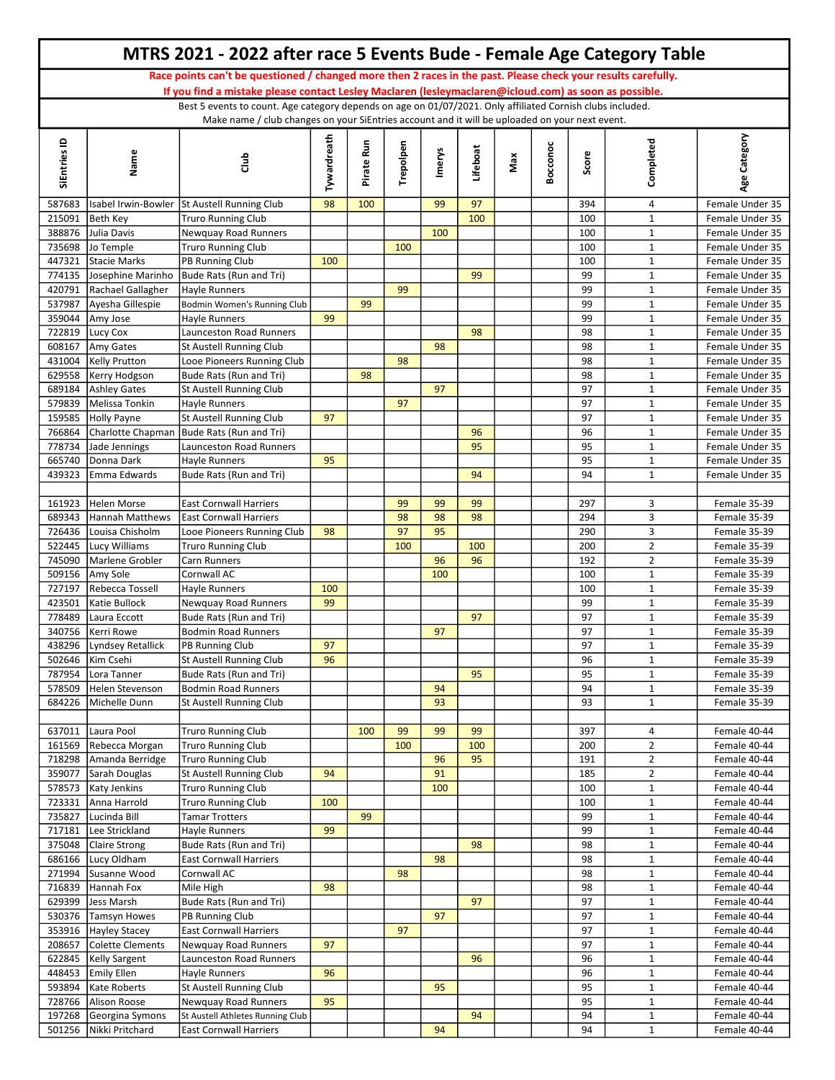|                  |                                               | MTRS 2021 - 2022 after race 5 Events Bude - Female Age Category Table                                                                                                                                               |             |            |           |          |           |     |          |            |                              |                                    |
|------------------|-----------------------------------------------|---------------------------------------------------------------------------------------------------------------------------------------------------------------------------------------------------------------------|-------------|------------|-----------|----------|-----------|-----|----------|------------|------------------------------|------------------------------------|
|                  |                                               | Race points can't be questioned / changed more then 2 races in the past. Please check your results carefully.                                                                                                       |             |            |           |          |           |     |          |            |                              |                                    |
|                  |                                               | If you find a mistake please contact Lesley Maclaren (lesleymaclaren@icloud.com) as soon as possible.<br>Best 5 events to count. Age category depends on age on 01/07/2021. Only affiliated Cornish clubs included. |             |            |           |          |           |     |          |            |                              |                                    |
|                  |                                               | Make name / club changes on your SiEntries account and it will be uploaded on your next event.                                                                                                                      |             |            |           |          |           |     |          |            |                              |                                    |
| SiEntries ID     | Name                                          | dub                                                                                                                                                                                                                 | Tywardreath | Pirate Run | Trepolpen | Imerys   | Lifeboat  | Max | Bocconoc | Score      | Completed                    | Age Category                       |
| 587683           |                                               | Isabel Irwin-Bowler St Austell Running Club                                                                                                                                                                         | 98          | 100        |           | 99       | 97        |     |          | 394        | 4                            | Female Under 35                    |
| 215091           | Beth Key                                      | <b>Truro Running Club</b>                                                                                                                                                                                           |             |            |           |          | 100       |     |          | 100        | $\mathbf{1}$                 | Female Under 35                    |
| 388876           | Julia Davis                                   | Newquay Road Runners                                                                                                                                                                                                |             |            |           | 100      |           |     |          | 100        | $\mathbf{1}$                 | Female Under 35                    |
| 735698           | Jo Temple                                     | <b>Truro Running Club</b>                                                                                                                                                                                           |             |            | 100       |          |           |     |          | 100        | $\mathbf{1}$                 | Female Under 35                    |
| 447321<br>774135 | Stacie Marks<br>Josephine Marinho             | PB Running Club<br>Bude Rats (Run and Tri)                                                                                                                                                                          | 100         |            |           |          | 99        |     |          | 100<br>99  | $\mathbf{1}$<br>$\mathbf 1$  | Female Under 35<br>Female Under 35 |
| 420791           | Rachael Gallagher                             | <b>Hayle Runners</b>                                                                                                                                                                                                |             |            | 99        |          |           |     |          | 99         | $\mathbf{1}$                 | Female Under 35                    |
| 537987           | Ayesha Gillespie                              | Bodmin Women's Running Club                                                                                                                                                                                         |             | 99         |           |          |           |     |          | 99         | $\mathbf{1}$                 | Female Under 35                    |
| 359044           | Amy Jose                                      | Hayle Runners                                                                                                                                                                                                       | 99          |            |           |          |           |     |          | 99         | $\mathbf{1}$                 | Female Under 35                    |
| 722819           | Lucy Cox                                      | <b>Launceston Road Runners</b>                                                                                                                                                                                      |             |            |           |          | 98        |     |          | 98         | $\mathbf{1}$                 | Female Under 35                    |
| 608167           | Amy Gates                                     | St Austell Running Club                                                                                                                                                                                             |             |            |           | 98       |           |     |          | 98         | $\mathbf{1}$                 | Female Under 35                    |
| 431004           | Kelly Prutton                                 | Looe Pioneers Running Club                                                                                                                                                                                          |             |            | 98        |          |           |     |          | 98         | 1                            | Female Under 35                    |
|                  | 629558   Kerry Hodgson<br>689184 Ashley Gates | Bude Rats (Run and Tri)<br><b>St Austell Running Club</b>                                                                                                                                                           |             | 98         |           | 97       |           |     |          | 98<br>97   | $\mathbf{1}$<br>$\mathbf{1}$ | Female Under 35<br>Female Under 35 |
| 579839           | Melissa Tonkin                                | <b>Hayle Runners</b>                                                                                                                                                                                                |             |            | 97        |          |           |     |          | 97         | $\mathbf{1}$                 | Female Under 35                    |
| 159585           | Holly Payne                                   | <b>St Austell Running Club</b>                                                                                                                                                                                      | 97          |            |           |          |           |     |          | 97         | $\mathbf{1}$                 | Female Under 35                    |
| 766864           |                                               | Charlotte Chapman Bude Rats (Run and Tri)                                                                                                                                                                           |             |            |           |          | 96        |     |          | 96         | $\mathbf{1}$                 | Female Under 35                    |
| 778734           | Jade Jennings                                 | Launceston Road Runners                                                                                                                                                                                             |             |            |           |          | 95        |     |          | 95         | $\mathbf{1}$                 | Female Under 35                    |
| 665740           | Donna Dark                                    | <b>Hayle Runners</b>                                                                                                                                                                                                | 95          |            |           |          |           |     |          | 95         | $\mathbf{1}$                 | Female Under 35                    |
| 439323           | Emma Edwards                                  | Bude Rats (Run and Tri)                                                                                                                                                                                             |             |            |           |          | 94        |     |          | 94         | $\mathbf{1}$                 | Female Under 35                    |
|                  |                                               |                                                                                                                                                                                                                     |             |            |           |          |           |     |          |            |                              |                                    |
| 161923<br>689343 | Helen Morse<br>Hannah Matthews                | <b>East Cornwall Harriers</b><br><b>East Cornwall Harriers</b>                                                                                                                                                      |             |            | 99<br>98  | 99<br>98 | 99<br>98  |     |          | 297<br>294 | 3<br>3                       | Female 35-39<br>Female 35-39       |
| 726436           | Louisa Chisholm                               | Looe Pioneers Running Club                                                                                                                                                                                          | 98          |            | 97        | 95       |           |     |          | 290        | 3                            | Female 35-39                       |
|                  | 522445 Lucy Williams                          | <b>Truro Running Club</b>                                                                                                                                                                                           |             |            | 100       |          | 100       |     |          | 200        | $\overline{2}$               | Female 35-39                       |
| 745090           | Marlene Grobler                               | <b>Carn Runners</b>                                                                                                                                                                                                 |             |            |           | 96       | 96        |     |          | 192        | $\overline{2}$               | Female 35-39                       |
| 509156           | Amy Sole                                      | Cornwall AC                                                                                                                                                                                                         |             |            |           | 100      |           |     |          | 100        | $\mathbf{1}$                 | Female 35-39                       |
| 727197           | Rebecca Tossell                               | <b>Hayle Runners</b>                                                                                                                                                                                                | 100         |            |           |          |           |     |          | 100        | $\mathbf{1}$                 | Female 35-39                       |
| 423501           | Katie Bullock                                 | Newquay Road Runners                                                                                                                                                                                                | 99          |            |           |          |           |     |          | 99         | $\mathbf{1}$                 | Female 35-39                       |
| 778489<br>340756 | Laura Eccott<br>Kerri Rowe                    | Bude Rats (Run and Tri)<br><b>Bodmin Road Runners</b>                                                                                                                                                               |             |            |           | 97       | 97        |     |          | 97<br>97   | $\mathbf{1}$<br>$\mathbf{1}$ | Female 35-39<br>Female 35-39       |
|                  | 438296 Lyndsey Retallick                      | PB Running Club                                                                                                                                                                                                     | 97          |            |           |          |           |     |          | 97         | $\mathbf{1}$                 | Female 35-39                       |
|                  | 502646   Kim Csehi                            | St Austell Running Club                                                                                                                                                                                             | 96          |            |           |          |           |     |          | 96         | $\mathbf{1}$                 | Female 35-39                       |
| 787954           | Lora Tanner                                   | Bude Rats (Run and Tri)                                                                                                                                                                                             |             |            |           |          | 95        |     |          | 95         | $\mathbf{1}$                 | Female 35-39                       |
| 578509           | Helen Stevenson                               | <b>Bodmin Road Runners</b>                                                                                                                                                                                          |             |            |           | 94       |           |     |          | 94         | $\mathbf{1}$                 | Female 35-39                       |
| 684226           | Michelle Dunn                                 | <b>St Austell Running Club</b>                                                                                                                                                                                      |             |            |           | 93       |           |     |          | 93         | $\mathbf{1}$                 | Female 35-39                       |
|                  |                                               |                                                                                                                                                                                                                     |             |            |           |          |           |     |          |            |                              |                                    |
| 161569           | 637011 Laura Pool<br>Rebecca Morgan           | <b>Truro Running Club</b><br><b>Truro Running Club</b>                                                                                                                                                              |             | 100        | 99<br>100 | 99       | 99<br>100 |     |          | 397<br>200 | 4<br>$\overline{2}$          | Female 40-44<br>Female 40-44       |
| 718298           | Amanda Berridge                               | <b>Truro Running Club</b>                                                                                                                                                                                           |             |            |           | 96       | 95        |     |          | 191        | $\overline{2}$               | Female 40-44                       |
| 359077           | Sarah Douglas                                 | St Austell Running Club                                                                                                                                                                                             | 94          |            |           | 91       |           |     |          | 185        | $\overline{2}$               | Female 40-44                       |
| 578573           | Katy Jenkins                                  | <b>Truro Running Club</b>                                                                                                                                                                                           |             |            |           | 100      |           |     |          | 100        | $\mathbf{1}$                 | Female 40-44                       |
| 723331           | Anna Harrold                                  | <b>Truro Running Club</b>                                                                                                                                                                                           | 100         |            |           |          |           |     |          | 100        | $\mathbf{1}$                 | Female 40-44                       |
| 735827           | Lucinda Bill                                  | <b>Tamar Trotters</b>                                                                                                                                                                                               |             | 99         |           |          |           |     |          | 99         | $\mathbf{1}$                 | Female 40-44                       |
|                  | 717181 Lee Strickland                         | <b>Hayle Runners</b><br>Bude Rats (Run and Tri)                                                                                                                                                                     | 99          |            |           |          | 98        |     |          | 99         | $\mathbf{1}$                 | Female 40-44                       |
| 375048           | Claire Strong<br>686166   Lucy Oldham         | <b>East Cornwall Harriers</b>                                                                                                                                                                                       |             |            |           | 98       |           |     |          | 98<br>98   | $\mathbf{1}$<br>$\mathbf{1}$ | Female 40-44<br>Female 40-44       |
| 271994           | Susanne Wood                                  | Cornwall AC                                                                                                                                                                                                         |             |            | 98        |          |           |     |          | 98         | $\mathbf{1}$                 | Female 40-44                       |
|                  | 716839 Hannah Fox                             | Mile High                                                                                                                                                                                                           | 98          |            |           |          |           |     |          | 98         | $\mathbf{1}$                 | Female 40-44                       |
| 629399           | Jess Marsh                                    | Bude Rats (Run and Tri)                                                                                                                                                                                             |             |            |           |          | 97        |     |          | 97         | $\mathbf{1}$                 | Female 40-44                       |
|                  | 530376 Tamsyn Howes                           | PB Running Club                                                                                                                                                                                                     |             |            |           | 97       |           |     |          | 97         | $\mathbf{1}$                 | Female 40-44                       |
|                  | 353916   Hayley Stacey                        | <b>East Cornwall Harriers</b>                                                                                                                                                                                       |             |            | 97        |          |           |     |          | 97         | $\mathbf{1}$                 | Female 40-44                       |
| 208657           | Colette Clements                              | Newquay Road Runners                                                                                                                                                                                                | 97          |            |           |          |           |     |          | 97         | $\mathbf{1}$                 | Female 40-44                       |
| 448453           | 622845   Kelly Sargent<br><b>Emily Ellen</b>  | Launceston Road Runners<br>Hayle Runners                                                                                                                                                                            | 96          |            |           |          | 96        |     |          | 96<br>96   | $\mathbf{1}$<br>$\mathbf{1}$ | Female 40-44<br>Female 40-44       |
| 593894           | Kate Roberts                                  | St Austell Running Club                                                                                                                                                                                             |             |            |           | 95       |           |     |          | 95         | $\mathbf{1}$                 | Female 40-44                       |
| 728766           | Alison Roose                                  | Newquay Road Runners                                                                                                                                                                                                | 95          |            |           |          |           |     |          | 95         | $\mathbf{1}$                 | Female 40-44                       |
|                  | 197268 Georgina Symons                        | St Austell Athletes Running Club                                                                                                                                                                                    |             |            |           |          | 94        |     |          | 94         | $\mathbf{1}$                 | Female 40-44                       |
|                  | 501256 Nikki Pritchard                        | <b>East Cornwall Harriers</b>                                                                                                                                                                                       |             |            |           | 94       |           |     |          | 94         | $\mathbf{1}$                 | Female 40-44                       |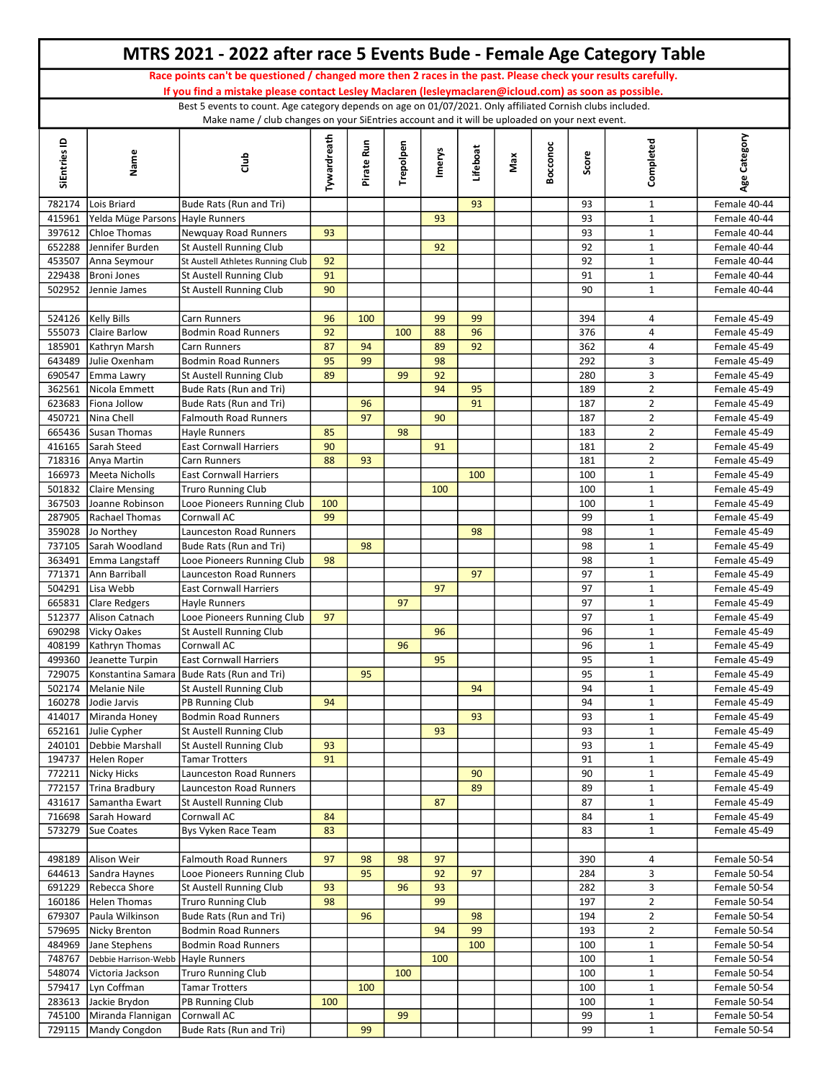|                  |                                                 | MTRS 2021 - 2022 after race 5 Events Bude - Female Age Category Table                                                                                                                                                  |             |            |           |        |           |     |          |            |                                  |                              |
|------------------|-------------------------------------------------|------------------------------------------------------------------------------------------------------------------------------------------------------------------------------------------------------------------------|-------------|------------|-----------|--------|-----------|-----|----------|------------|----------------------------------|------------------------------|
|                  |                                                 | Race points can't be questioned / changed more then 2 races in the past. Please check your results carefully.<br>If you find a mistake please contact Lesley Maclaren (lesleymaclaren@icloud.com) as soon as possible. |             |            |           |        |           |     |          |            |                                  |                              |
|                  |                                                 | Best 5 events to count. Age category depends on age on 01/07/2021. Only affiliated Cornish clubs included.                                                                                                             |             |            |           |        |           |     |          |            |                                  |                              |
| SiEntries ID     | Name                                            | Make name / club changes on your SiEntries account and it will be uploaded on your next event.<br>Club                                                                                                                 | Tywardreath | Pirate Run | Trepolpen | Imerys | Lifeboat  | Max | Bocconoc | Score      | Completed                        | Age Category                 |
|                  |                                                 |                                                                                                                                                                                                                        |             |            |           |        |           |     |          |            |                                  |                              |
| 782174<br>415961 | Lois Briard<br>Yelda Müge Parsons Hayle Runners | Bude Rats (Run and Tri)                                                                                                                                                                                                |             |            |           | 93     | 93        |     |          | 93<br>93   | $\mathbf{1}$<br>$\mathbf{1}$     | Female 40-44<br>Female 40-44 |
| 397612           | Chloe Thomas                                    | Newguay Road Runners                                                                                                                                                                                                   | 93          |            |           |        |           |     |          | 93         | $\mathbf{1}$                     | Female 40-44                 |
| 652288           | Jennifer Burden                                 | St Austell Running Club                                                                                                                                                                                                |             |            |           | 92     |           |     |          | 92         | $\mathbf{1}$                     | Female 40-44                 |
| 453507           | Anna Seymour                                    | St Austell Athletes Running Club                                                                                                                                                                                       | 92          |            |           |        |           |     |          | 92         | $\mathbf{1}$                     | Female 40-44                 |
| 229438           | Broni Jones                                     | <b>St Austell Running Club</b>                                                                                                                                                                                         | 91          |            |           |        |           |     |          | 91         | $\mathbf{1}$                     | Female 40-44                 |
| 502952           | Jennie James                                    | St Austell Running Club                                                                                                                                                                                                | 90          |            |           |        |           |     |          | 90         | $\mathbf{1}$                     | Female 40-44                 |
|                  | 524126   Kelly Bills                            | <b>Carn Runners</b>                                                                                                                                                                                                    | 96          | 100        |           | 99     | 99        |     |          | 394        | 4                                | Female 45-49                 |
| 555073           | Claire Barlow                                   | <b>Bodmin Road Runners</b>                                                                                                                                                                                             | 92          |            | 100       | 88     | 96        |     |          | 376        | $\overline{4}$                   | Female 45-49                 |
| 185901           | Kathryn Marsh                                   | Carn Runners                                                                                                                                                                                                           | 87          | 94         |           | 89     | 92        |     |          | 362        | 4                                | Female 45-49                 |
| 643489           | Julie Oxenham                                   | <b>Bodmin Road Runners</b>                                                                                                                                                                                             | 95          | 99         |           | 98     |           |     |          | 292        | 3                                | Female 45-49                 |
| 690547           | Emma Lawry                                      | <b>St Austell Running Club</b>                                                                                                                                                                                         | 89          |            | 99        | 92     |           |     |          | 280        | 3                                | Female 45-49                 |
| 362561           | Nicola Emmett                                   | Bude Rats (Run and Tri)                                                                                                                                                                                                |             |            |           | 94     | 95        |     |          | 189        | $\overline{2}$                   | Female 45-49                 |
| 623683           | Fiona Jollow                                    | Bude Rats (Run and Tri)                                                                                                                                                                                                |             | 96         |           |        | 91        |     |          | 187        | $\overline{2}$                   | Female 45-49                 |
| 450721           | Nina Chell<br>665436 Susan Thomas               | <b>Falmouth Road Runners</b><br><b>Hayle Runners</b>                                                                                                                                                                   | 85          | 97         | 98        | 90     |           |     |          | 187<br>183 | $\overline{2}$<br>$\overline{2}$ | Female 45-49<br>Female 45-49 |
| 416165           | Sarah Steed                                     | <b>East Cornwall Harriers</b>                                                                                                                                                                                          | 90          |            |           | 91     |           |     |          | 181        | $\overline{2}$                   | Female 45-49                 |
| 718316           | Anya Martin                                     | Carn Runners                                                                                                                                                                                                           | 88          | 93         |           |        |           |     |          | 181        | $\overline{2}$                   | Female 45-49                 |
| 166973           | Meeta Nicholls                                  | <b>East Cornwall Harriers</b>                                                                                                                                                                                          |             |            |           |        | 100       |     |          | 100        | $\mathbf{1}$                     | Female 45-49                 |
| 501832           | Claire Mensing                                  | <b>Truro Running Club</b>                                                                                                                                                                                              |             |            |           | 100    |           |     |          | 100        | $\mathbf{1}$                     | Female 45-49                 |
| 367503           | Joanne Robinson                                 | Looe Pioneers Running Club                                                                                                                                                                                             | 100         |            |           |        |           |     |          | 100        | $\mathbf{1}$                     | Female 45-49                 |
| 287905           | Rachael Thomas                                  | Cornwall AC                                                                                                                                                                                                            | 99          |            |           |        |           |     |          | 99         | $\mathbf{1}$                     | Female 45-49                 |
| 359028           | Jo Northey                                      | Launceston Road Runners                                                                                                                                                                                                |             |            |           |        | 98        |     |          | 98         | $\mathbf{1}$                     | Female 45-49                 |
| 737105<br>363491 | Sarah Woodland<br>Emma Langstaff                | Bude Rats (Run and Tri)<br>Looe Pioneers Running Club                                                                                                                                                                  | 98          | 98         |           |        |           |     |          | 98<br>98   | $\mathbf{1}$<br>$\mathbf{1}$     | Female 45-49<br>Female 45-49 |
| 771371           | Ann Barriball                                   | Launceston Road Runners                                                                                                                                                                                                |             |            |           |        | 97        |     |          | 97         | $\mathbf{1}$                     | Female 45-49                 |
| 504291           | Lisa Webb                                       | <b>East Cornwall Harriers</b>                                                                                                                                                                                          |             |            |           | 97     |           |     |          | 97         | $\mathbf{1}$                     | Female 45-49                 |
| 665831           | Clare Redgers                                   | <b>Hayle Runners</b>                                                                                                                                                                                                   |             |            | 97        |        |           |     |          | 97         | $\mathbf{1}$                     | Female 45-49                 |
| 512377           | Alison Catnach                                  | Looe Pioneers Running Club                                                                                                                                                                                             | 97          |            |           |        |           |     |          | 97         | $\mathbf{1}$                     | Female 45-49                 |
| 690298           | Vicky Oakes                                     | <b>St Austell Running Club</b>                                                                                                                                                                                         |             |            |           | 96     |           |     |          | 96         | $\mathbf{1}$                     | Female 45-49                 |
|                  | 408199   Kathryn Thomas                         | Cornwall AC                                                                                                                                                                                                            |             |            | 96        |        |           |     |          | 96         | $\mathbf{1}$                     | Female 45-49                 |
| 499360<br>729075 | Jeanette Turpin                                 | <b>East Cornwall Harriers</b><br>Konstantina Samara Bude Rats (Run and Tri)                                                                                                                                            |             | 95         |           | 95     |           |     |          | 95<br>95   | $\mathbf{1}$<br>$\mathbf{1}$     | Female 45-49<br>Female 45-49 |
| 502174           | Melanie Nile                                    | <b>St Austell Running Club</b>                                                                                                                                                                                         |             |            |           |        | 94        |     |          | 94         | $\mathbf{1}$                     | Female 45-49                 |
| 160278           | Jodie Jarvis                                    | PB Running Club                                                                                                                                                                                                        | 94          |            |           |        |           |     |          | 94         | $\mathbf{1}$                     | Female 45-49                 |
| 414017           | Miranda Honey                                   | <b>Bodmin Road Runners</b>                                                                                                                                                                                             |             |            |           |        | 93        |     |          | 93         | $\mathbf{1}$                     | Female 45-49                 |
| 652161           | Julie Cypher                                    | St Austell Running Club                                                                                                                                                                                                |             |            |           | 93     |           |     |          | 93         | $\mathbf{1}$                     | Female 45-49                 |
| 240101           | Debbie Marshall                                 | St Austell Running Club                                                                                                                                                                                                | 93          |            |           |        |           |     |          | 93         | $\mathbf{1}$                     | Female 45-49                 |
|                  | 194737 Helen Roper                              | <b>Tamar Trotters</b>                                                                                                                                                                                                  | 91          |            |           |        |           |     |          | 91         | $\mathbf{1}$                     | Female 45-49                 |
| 772211           | Nicky Hicks                                     | Launceston Road Runners                                                                                                                                                                                                |             |            |           |        | 90        |     |          | 90         | $\mathbf{1}$                     | Female 45-49                 |
| 772157<br>431617 | Trina Bradbury<br>Samantha Ewart                | Launceston Road Runners                                                                                                                                                                                                |             |            |           | 87     | 89        |     |          | 89<br>87   | $\mathbf{1}$                     | Female 45-49<br>Female 45-49 |
| 716698           | Sarah Howard                                    | St Austell Running Club<br>Cornwall AC                                                                                                                                                                                 | 84          |            |           |        |           |     |          | 84         | $\mathbf{1}$<br>$\mathbf{1}$     | Female 45-49                 |
| 573279           | Sue Coates                                      | Bys Vyken Race Team                                                                                                                                                                                                    | 83          |            |           |        |           |     |          | 83         | $\mathbf{1}$                     | Female 45-49                 |
|                  |                                                 |                                                                                                                                                                                                                        |             |            |           |        |           |     |          |            |                                  |                              |
| 498189           | Alison Weir                                     | <b>Falmouth Road Runners</b>                                                                                                                                                                                           | 97          | 98         | 98        | 97     |           |     |          | 390        | 4                                | Female 50-54                 |
|                  | 644613 Sandra Haynes                            | Looe Pioneers Running Club                                                                                                                                                                                             |             | 95         |           | 92     | 97        |     |          | 284        | 3                                | Female 50-54                 |
|                  | 691229 Rebecca Shore                            | St Austell Running Club                                                                                                                                                                                                | 93          |            | 96        | 93     |           |     |          | 282        | $\mathbf{3}$                     | Female 50-54                 |
|                  | 160186 Helen Thomas                             | <b>Truro Running Club</b>                                                                                                                                                                                              | 98          |            |           | 99     |           |     |          | 197        | $\overline{2}$                   | Female 50-54                 |
| 679307           | Paula Wilkinson                                 | Bude Rats (Run and Tri)                                                                                                                                                                                                |             | 96         |           |        | 98        |     |          | 194        | $\overline{2}$                   | Female 50-54                 |
| 579695<br>484969 | Nicky Brenton<br>Jane Stephens                  | <b>Bodmin Road Runners</b><br><b>Bodmin Road Runners</b>                                                                                                                                                               |             |            |           | 94     | 99<br>100 |     |          | 193<br>100 | $\overline{2}$<br>$\mathbf{1}$   | Female 50-54<br>Female 50-54 |
| 748767           | Debbie Harrison-Webb Hayle Runners              |                                                                                                                                                                                                                        |             |            |           | 100    |           |     |          | 100        | $\mathbf{1}$                     | Female 50-54                 |
| 548074           | Victoria Jackson                                | <b>Truro Running Club</b>                                                                                                                                                                                              |             |            | 100       |        |           |     |          | 100        | $\mathbf{1}$                     | Female 50-54                 |
| 579417           | Lyn Coffman                                     | Tamar Trotters                                                                                                                                                                                                         |             | 100        |           |        |           |     |          | 100        | $\mathbf{1}$                     | Female 50-54                 |
|                  | 283613 Jackie Brydon                            | PB Running Club                                                                                                                                                                                                        | 100         |            |           |        |           |     |          | 100        | $\mathbf{1}$                     | Female 50-54                 |
| 745100           | Miranda Flannigan                               | Cornwall AC                                                                                                                                                                                                            |             |            | 99        |        |           |     |          | 99         | $\mathbf{1}$                     | Female 50-54                 |
|                  | 729115   Mandy Congdon                          | Bude Rats (Run and Tri)                                                                                                                                                                                                |             | 99         |           |        |           |     |          | 99         | $\mathbf{1}$                     | Female 50-54                 |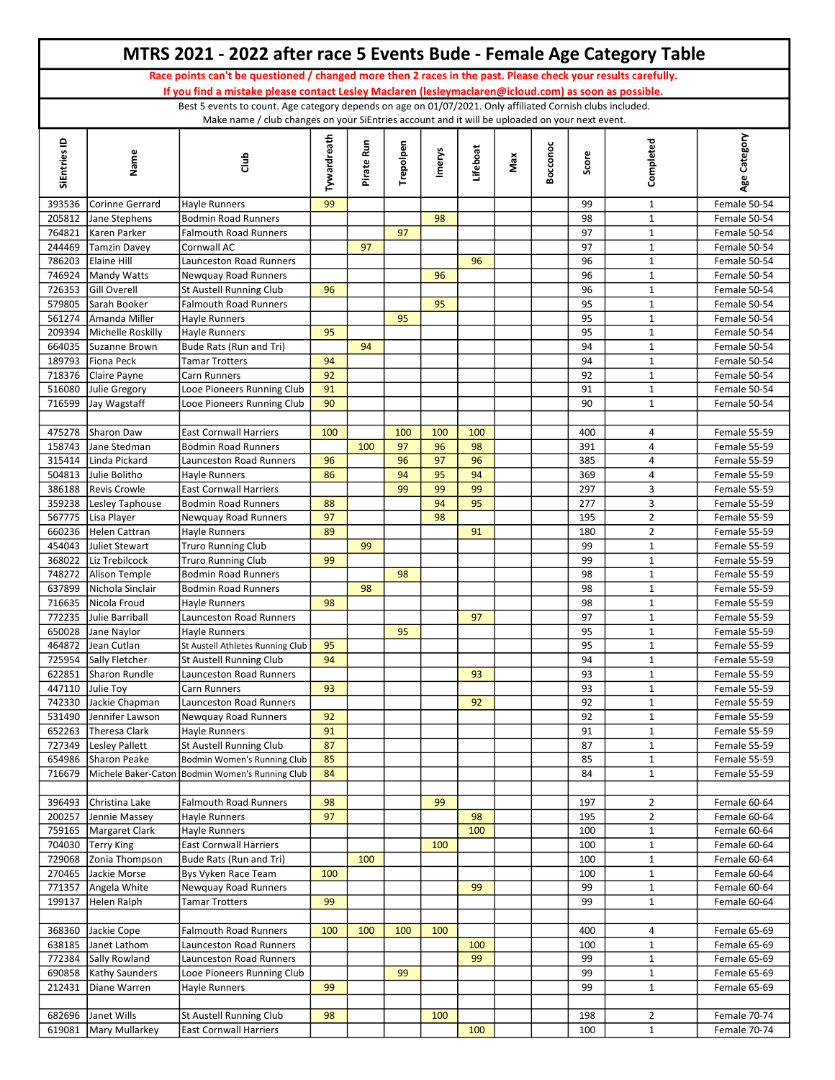|                  |                                             | MTRS 2021 - 2022 after race 5 Events Bude - Female Age Category Table                                                                                                                                                  |             |            |           |               |          |     |          |            |                              |                              |
|------------------|---------------------------------------------|------------------------------------------------------------------------------------------------------------------------------------------------------------------------------------------------------------------------|-------------|------------|-----------|---------------|----------|-----|----------|------------|------------------------------|------------------------------|
|                  |                                             | Race points can't be questioned / changed more then 2 races in the past. Please check your results carefully.<br>If you find a mistake please contact Lesley Maclaren (lesleymaclaren@icloud.com) as soon as possible. |             |            |           |               |          |     |          |            |                              |                              |
|                  |                                             | Best 5 events to count. Age category depends on age on 01/07/2021. Only affiliated Cornish clubs included.                                                                                                             |             |            |           |               |          |     |          |            |                              |                              |
| SiEntries ID     | Name                                        | Make name / club changes on your SiEntries account and it will be uploaded on your next event.<br>Club                                                                                                                 | Tywardreath | Pirate Run | Trepolpen | <b>Imerys</b> | Lifeboat | Max | Bocconoc | Score      | Completed                    | Age Category                 |
|                  |                                             |                                                                                                                                                                                                                        |             |            |           |               |          |     |          |            |                              |                              |
| 393536           | Corinne Gerrard                             | Hayle Runners                                                                                                                                                                                                          | 99          |            |           |               |          |     |          | 99         | $\mathbf{1}$                 | Female 50-54                 |
| 205812           | Jane Stephens                               | <b>Bodmin Road Runners</b>                                                                                                                                                                                             |             |            |           | 98            |          |     |          | 98         | $\mathbf{1}$                 | Female 50-54                 |
| 764821           | Karen Parker                                | <b>Falmouth Road Runners</b>                                                                                                                                                                                           |             |            | 97        |               |          |     |          | 97         | $\mathbf{1}$                 | Female 50-54                 |
| 244469           | Tamzin Davey                                | Cornwall AC                                                                                                                                                                                                            |             | 97         |           |               |          |     |          | 97         | $\mathbf{1}$                 | Female 50-54                 |
| 786203<br>746924 | Elaine Hill<br>Mandy Watts                  | Launceston Road Runners<br>Newquay Road Runners                                                                                                                                                                        |             |            |           | 96            | 96       |     |          | 96<br>96   | $\mathbf{1}$<br>$\mathbf{1}$ | Female 50-54<br>Female 50-54 |
| 726353           | Gill Overell                                | <b>St Austell Running Club</b>                                                                                                                                                                                         | 96          |            |           |               |          |     |          | 96         | $\mathbf{1}$                 | Female 50-54                 |
| 579805           | Sarah Booker                                | <b>Falmouth Road Runners</b>                                                                                                                                                                                           |             |            |           | 95            |          |     |          | 95         | $\mathbf{1}$                 | Female 50-54                 |
| 561274           | Amanda Miller                               | <b>Hayle Runners</b>                                                                                                                                                                                                   |             |            | 95        |               |          |     |          | 95         | $\mathbf{1}$                 | Female 50-54                 |
| 209394           | Michelle Roskilly                           | <b>Hayle Runners</b>                                                                                                                                                                                                   | 95          |            |           |               |          |     |          | 95         | $\mathbf 1$                  | Female 50-54                 |
| 664035<br>189793 | Suzanne Brown<br>Fiona Peck                 | Bude Rats (Run and Tri)                                                                                                                                                                                                |             | 94         |           |               |          |     |          | 94<br>94   | $\mathbf{1}$                 | Female 50-54                 |
| 718376           | Claire Payne                                | <b>Tamar Trotters</b><br>Carn Runners                                                                                                                                                                                  | 94<br>92    |            |           |               |          |     |          | 92         | $\mathbf{1}$<br>$\mathbf{1}$ | Female 50-54<br>Female 50-54 |
| 516080           | Julie Gregory                               | Looe Pioneers Running Club                                                                                                                                                                                             | 91          |            |           |               |          |     |          | 91         | $\mathbf{1}$                 | Female 50-54                 |
| 716599           | Jay Wagstaff                                | Looe Pioneers Running Club                                                                                                                                                                                             | 90          |            |           |               |          |     |          | 90         | $\mathbf{1}$                 | Female 50-54                 |
|                  |                                             |                                                                                                                                                                                                                        |             |            |           |               |          |     |          |            |                              |                              |
| 475278           | Sharon Daw                                  | <b>East Cornwall Harriers</b>                                                                                                                                                                                          | 100         |            | 100       | 100           | 100      |     |          | 400        | 4                            | Female 55-59                 |
| 158743<br>315414 | Jane Stedman<br>Linda Pickard               | <b>Bodmin Road Runners</b><br>Launceston Road Runners                                                                                                                                                                  | 96          | 100        | 97<br>96  | 96<br>97      | 98<br>96 |     |          | 391<br>385 | 4<br>4                       | Female 55-59<br>Female 55-59 |
| 504813           | Julie Bolitho                               | Hayle Runners                                                                                                                                                                                                          | 86          |            | 94        | 95            | 94       |     |          | 369        | 4                            | Female 55-59                 |
| 386188           | Revis Crowle                                | <b>East Cornwall Harriers</b>                                                                                                                                                                                          |             |            | 99        | 99            | 99       |     |          | 297        | 3                            | Female 55-59                 |
| 359238           | Lesley Taphouse                             | <b>Bodmin Road Runners</b>                                                                                                                                                                                             | 88          |            |           | 94            | 95       |     |          | 277        | 3                            | Female 55-59                 |
| 567775           | Lisa Player                                 | Newquay Road Runners                                                                                                                                                                                                   | 97          |            |           | 98            |          |     |          | 195        | $\overline{2}$               | Female 55-59                 |
|                  | 660236   Helen Cattran                      | Hayle Runners                                                                                                                                                                                                          | 89          |            |           |               | 91       |     |          | 180        | $\overline{2}$               | Female 55-59                 |
| 454043<br>368022 | Juliet Stewart<br>Liz Trebilcock            | <b>Truro Running Club</b><br><b>Truro Running Club</b>                                                                                                                                                                 | 99          | 99         |           |               |          |     |          | 99<br>99   | $\mathbf{1}$<br>$\mathbf{1}$ | Female 55-59<br>Female 55-59 |
| 748272           | Alison Temple                               | <b>Bodmin Road Runners</b>                                                                                                                                                                                             |             |            | 98        |               |          |     |          | 98         | $\mathbf{1}$                 | Female 55-59                 |
| 637899           | Nichola Sinclair                            | <b>Bodmin Road Runners</b>                                                                                                                                                                                             |             | 98         |           |               |          |     |          | 98         | $\mathbf{1}$                 | Female 55-59                 |
| 716635           | Nicola Froud                                | Hayle Runners                                                                                                                                                                                                          | 98          |            |           |               |          |     |          | 98         | $\mathbf{1}$                 | Female 55-59                 |
| 772235           | Julie Barriball                             | Launceston Road Runners                                                                                                                                                                                                |             |            |           |               | 97       |     |          | 97         | $\mathbf{1}$                 | Female 55-59                 |
|                  | 650028 Jane Naylor                          | Hayle Runners                                                                                                                                                                                                          |             |            | 95        |               |          |     |          | 95         | $\mathbf{1}$                 | Female 55-59                 |
|                  | 464872 Jean Cutlan<br>725954 Sally Fletcher | St Austell Athletes Running Club<br><b>St Austell Running Club</b>                                                                                                                                                     | 95<br>94    |            |           |               |          |     |          | 95<br>94   | $\mathbf{1}$<br>$\mathbf{1}$ | Female 55-59<br>Female 55-59 |
| 622851           | Sharon Rundle                               | <b>Launceston Road Runners</b>                                                                                                                                                                                         |             |            |           |               | 93       |     |          | 93         | $\mathbf{1}$                 | Female 55-59                 |
|                  | 447110 Julie Toy                            | Carn Runners                                                                                                                                                                                                           | 93          |            |           |               |          |     |          | 93         | $\mathbf{1}$                 | Female 55-59                 |
|                  | 742330 Jackie Chapman                       | Launceston Road Runners                                                                                                                                                                                                |             |            |           |               | 92       |     |          | 92         | $\mathbf{1}$                 | Female 55-59                 |
| 531490           | Jennifer Lawson                             | <b>Newquay Road Runners</b>                                                                                                                                                                                            | 92          |            |           |               |          |     |          | 92         | $\mathbf 1$                  | Female 55-59                 |
| 652263           | Theresa Clark                               | Hayle Runners                                                                                                                                                                                                          | 91          |            |           |               |          |     |          | 91         | $\mathbf{1}$                 | Female 55-59                 |
| 727349<br>654986 | Lesley Pallett<br>Sharon Peake              | St Austell Running Club<br>Bodmin Women's Running Club                                                                                                                                                                 | 87<br>85    |            |           |               |          |     |          | 87<br>85   | $\mathbf{1}$<br>$\mathbf{1}$ | Female 55-59<br>Female 55-59 |
| 716679           |                                             | Michele Baker-Caton Bodmin Women's Running Club                                                                                                                                                                        | 84          |            |           |               |          |     |          | 84         | $\mathbf{1}$                 | Female 55-59                 |
|                  |                                             |                                                                                                                                                                                                                        |             |            |           |               |          |     |          |            |                              |                              |
| 396493           | Christina Lake                              | <b>Falmouth Road Runners</b>                                                                                                                                                                                           | 98          |            |           | 99            |          |     |          | 197        | $\overline{2}$               | Female 60-64                 |
| 200257           | Jennie Massey                               | Hayle Runners                                                                                                                                                                                                          | 97          |            |           |               | 98       |     |          | 195        | $\overline{2}$               | Female 60-64                 |
| 759165           | Margaret Clark                              | Hayle Runners                                                                                                                                                                                                          |             |            |           |               | 100      |     |          | 100        | $\mathbf{1}$                 | Female 60-64                 |
| 704030<br>729068 | Terry King<br>Zonia Thompson                | <b>East Cornwall Harriers</b><br>Bude Rats (Run and Tri)                                                                                                                                                               |             | 100        |           | 100           |          |     |          | 100<br>100 | $\mathbf{1}$<br>$\mathbf{1}$ | Female 60-64<br>Female 60-64 |
| 270465           | Jackie Morse                                | Bys Vyken Race Team                                                                                                                                                                                                    | 100         |            |           |               |          |     |          | 100        | $\mathbf{1}$                 | Female 60-64                 |
| 771357           | Angela White                                | Newquay Road Runners                                                                                                                                                                                                   |             |            |           |               | 99       |     |          | 99         | $\mathbf{1}$                 | Female 60-64                 |
| 199137           | Helen Ralph                                 | <b>Tamar Trotters</b>                                                                                                                                                                                                  | 99          |            |           |               |          |     |          | 99         | $\mathbf{1}$                 | Female 60-64                 |
|                  |                                             |                                                                                                                                                                                                                        |             |            |           |               |          |     |          |            |                              |                              |
|                  | 368360 Jackie Cope<br>638185 Janet Lathom   | <b>Falmouth Road Runners</b>                                                                                                                                                                                           | 100         | 100        | 100       | 100           | 100      |     |          | 400<br>100 | 4<br>$\mathbf{1}$            | Female 65-69<br>Female 65-69 |
| 772384           | Sally Rowland                               | Launceston Road Runners<br>Launceston Road Runners                                                                                                                                                                     |             |            |           |               | 99       |     |          | 99         | $\mathbf{1}$                 | Female 65-69                 |
|                  | 690858   Kathy Saunders                     | Looe Pioneers Running Club                                                                                                                                                                                             |             |            | 99        |               |          |     |          | 99         | $\mathbf{1}$                 | Female 65-69                 |
| 212431           | Diane Warren                                | Hayle Runners                                                                                                                                                                                                          | 99          |            |           |               |          |     |          | 99         | $\mathbf{1}$                 | Female 65-69                 |
|                  |                                             |                                                                                                                                                                                                                        |             |            |           |               |          |     |          |            |                              |                              |
|                  | 682696 Janet Wills                          | St Austell Running Club                                                                                                                                                                                                | 98          |            |           | 100           |          |     |          | 198        | $\overline{2}$               | Female 70-74                 |
|                  | 619081   Mary Mullarkey                     | <b>East Cornwall Harriers</b>                                                                                                                                                                                          |             |            |           |               | 100      |     |          | 100        | $\mathbf{1}$                 | Female 70-74                 |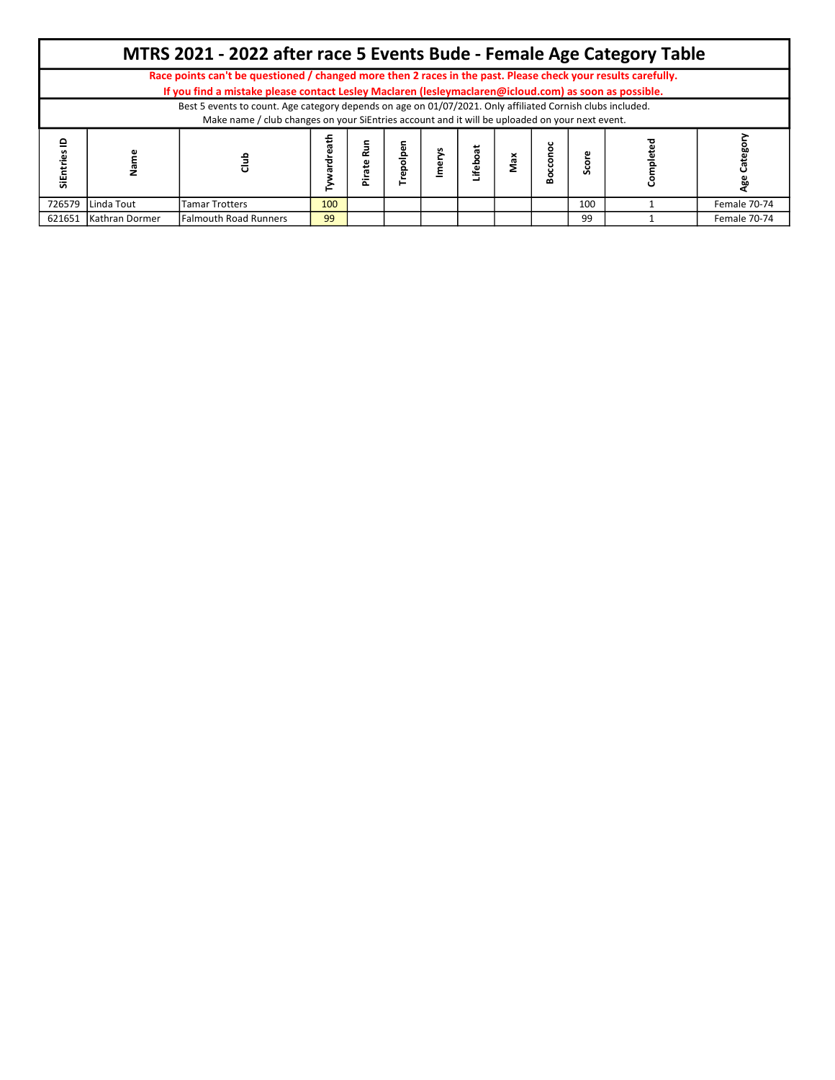|              |                   | MTRS 2021 - 2022 after race 5 Events Bude - Female Age Category Table                                         |     |               |   |        |     |   |     |              |
|--------------|-------------------|---------------------------------------------------------------------------------------------------------------|-----|---------------|---|--------|-----|---|-----|--------------|
|              |                   | Race points can't be questioned / changed more then 2 races in the past. Please check your results carefully. |     |               |   |        |     |   |     |              |
|              |                   | If you find a mistake please contact Lesley Maclaren (lesleymaclaren@icloud.com) as soon as possible.         |     |               |   |        |     |   |     |              |
|              |                   | Best 5 events to count. Age category depends on age on 01/07/2021. Only affiliated Cornish clubs included.    |     |               |   |        |     |   |     |              |
|              |                   | Make name / club changes on your SiEntries account and it will be uploaded on your next event.                |     |               |   |        |     |   |     |              |
| ≘<br>SiEntri |                   | 름                                                                                                             | ÷   | Run<br>R<br>έ | 흥 | ifebo; | Max | ∞ |     |              |
|              | 726579 Linda Tout | <b>Tamar Trotters</b>                                                                                         | 100 |               |   |        |     |   | 100 | Female 70-74 |
| 621651       | Kathran Dormer    | <b>Falmouth Road Runners</b>                                                                                  | 99  |               |   |        |     |   | 99  | Female 70-74 |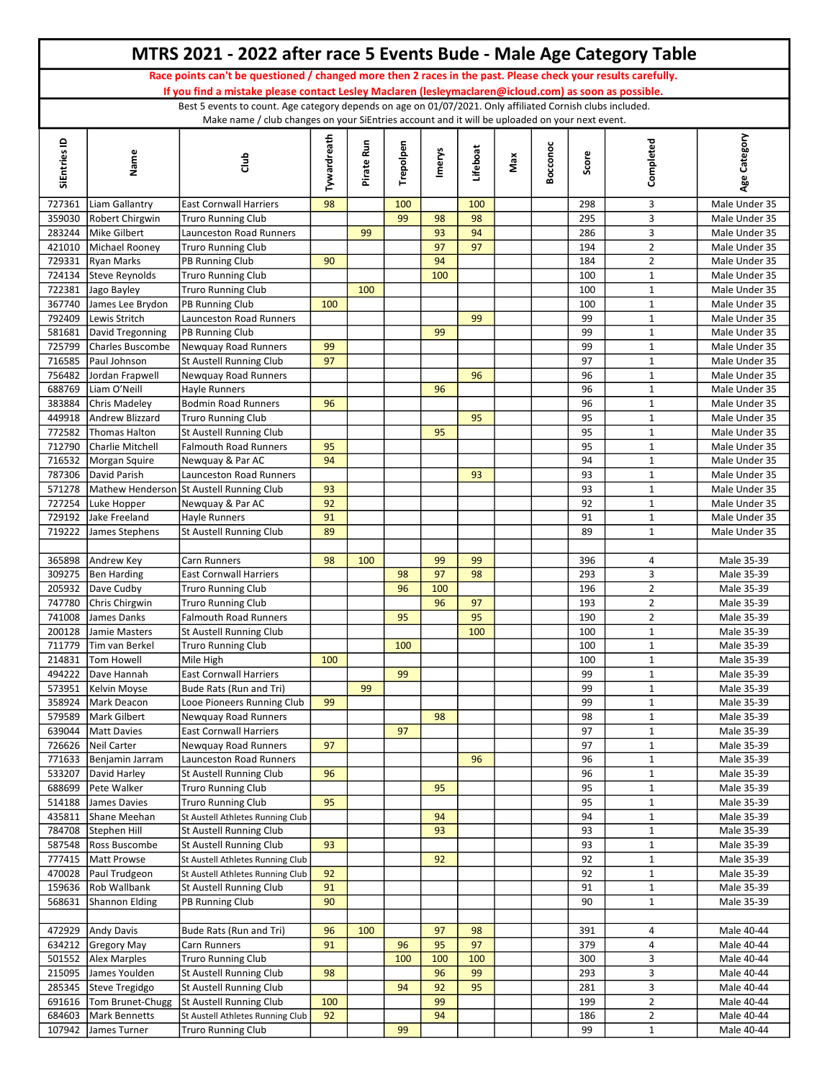|                  |                                         | MTRS 2021 - 2022 after race 5 Events Bude - Male Age Category Table                                                                                                                                                    |             |            |           |               |          |     |          |            |                              |                                |
|------------------|-----------------------------------------|------------------------------------------------------------------------------------------------------------------------------------------------------------------------------------------------------------------------|-------------|------------|-----------|---------------|----------|-----|----------|------------|------------------------------|--------------------------------|
|                  |                                         | Race points can't be questioned / changed more then 2 races in the past. Please check your results carefully.<br>If you find a mistake please contact Lesley Maclaren (lesleymaclaren@icloud.com) as soon as possible. |             |            |           |               |          |     |          |            |                              |                                |
|                  |                                         | Best 5 events to count. Age category depends on age on 01/07/2021. Only affiliated Cornish clubs included.                                                                                                             |             |            |           |               |          |     |          |            |                              |                                |
| SiEntries ID     | Name                                    | Make name / club changes on your SiEntries account and it will be uploaded on your next event.<br>d<br>d<br>d                                                                                                          | Tywardreath | Pirate Run | Trepolpen | <b>Imerys</b> | Lifeboat | Max | Bocconoc | Score      | Completed                    | Age Category                   |
| 727361           | Liam Gallantry                          | <b>East Cornwall Harriers</b>                                                                                                                                                                                          | 98          |            | 100       |               | 100      |     |          | 298        | 3                            | Male Under 35                  |
| 359030           | Robert Chirgwin                         | <b>Truro Running Club</b>                                                                                                                                                                                              |             |            | 99        | 98            | 98       |     |          | 295        | $\overline{3}$               | Male Under 35                  |
| 283244           | Mike Gilbert                            | <b>Launceston Road Runners</b>                                                                                                                                                                                         |             | 99         |           | 93            | 94       |     |          | 286        | 3                            | Male Under 35                  |
| 421010           | Michael Rooney                          | <b>Truro Running Club</b>                                                                                                                                                                                              |             |            |           | 97            | 97       |     |          | 194        | $\overline{2}$               | Male Under 35                  |
| 729331           | Ryan Marks                              | PB Running Club                                                                                                                                                                                                        | 90          |            |           | 94            |          |     |          | 184        | $\overline{2}$               | Male Under 35                  |
| 724134           | Steve Reynolds                          | <b>Truro Running Club</b>                                                                                                                                                                                              |             |            |           | 100           |          |     |          | 100        | $\mathbf 1$                  | Male Under 35                  |
| 722381           | Jago Bayley                             | <b>Truro Running Club</b>                                                                                                                                                                                              |             | 100        |           |               |          |     |          | 100        | $\mathbf{1}$                 | Male Under 35                  |
| 367740           | James Lee Brydon                        | PB Running Club                                                                                                                                                                                                        | 100         |            |           |               |          |     |          | 100        | $\mathbf{1}$                 | Male Under 35                  |
| 792409           | Lewis Stritch                           | Launceston Road Runners                                                                                                                                                                                                |             |            |           |               | 99       |     |          | 99         | $\mathbf{1}$                 | Male Under 35                  |
| 581681<br>725799 | David Tregonning<br>Charles Buscombe    | PB Running Club<br>Newquay Road Runners                                                                                                                                                                                | 99          |            |           | 99            |          |     |          | 99<br>99   | $\mathbf{1}$<br>$\mathbf{1}$ | Male Under 35<br>Male Under 35 |
| 716585           | Paul Johnson                            | St Austell Running Club                                                                                                                                                                                                | 97          |            |           |               |          |     |          | 97         | 1                            | Male Under 35                  |
| 756482           | Jordan Frapwell                         | Newquay Road Runners                                                                                                                                                                                                   |             |            |           |               | 96       |     |          | 96         | $\mathbf{1}$                 | Male Under 35                  |
| 688769           | Liam O'Neill                            | <b>Havle Runners</b>                                                                                                                                                                                                   |             |            |           | 96            |          |     |          | 96         | $\mathbf{1}$                 | Male Under 35                  |
| 383884           | Chris Madeley                           | <b>Bodmin Road Runners</b>                                                                                                                                                                                             | 96          |            |           |               |          |     |          | 96         | $\mathbf{1}$                 | Male Under 35                  |
| 449918           | Andrew Blizzard                         | <b>Truro Running Club</b>                                                                                                                                                                                              |             |            |           |               | 95       |     |          | 95         | $\mathbf{1}$                 | Male Under 35                  |
| 772582           | Thomas Halton                           | St Austell Running Club                                                                                                                                                                                                |             |            |           | 95            |          |     |          | 95         | $\mathbf{1}$                 | Male Under 35                  |
| 712790           | Charlie Mitchell                        | <b>Falmouth Road Runners</b>                                                                                                                                                                                           | 95          |            |           |               |          |     |          | 95         | $\mathbf{1}$                 | Male Under 35                  |
| 716532           | Morgan Squire                           | Newquay & Par AC                                                                                                                                                                                                       | 94          |            |           |               |          |     |          | 94         | $\mathbf{1}$                 | Male Under 35                  |
| 787306           | David Parish                            | Launceston Road Runners                                                                                                                                                                                                |             |            |           |               | 93       |     |          | 93         | $\mathbf{1}$                 | Male Under 35                  |
| 571278           |                                         | Mathew Henderson St Austell Running Club                                                                                                                                                                               | 93          |            |           |               |          |     |          | 93         | $\mathbf{1}$                 | Male Under 35                  |
|                  | 727254 Luke Hopper                      | Newquay & Par AC                                                                                                                                                                                                       | 92          |            |           |               |          |     |          | 92         | $\mathbf{1}$                 | Male Under 35                  |
| 729192<br>719222 | Jake Freeland                           | Hayle Runners                                                                                                                                                                                                          | 91<br>89    |            |           |               |          |     |          | 91<br>89   | $\mathbf{1}$<br>$\mathbf{1}$ | Male Under 35                  |
|                  | James Stephens                          | <b>St Austell Running Club</b>                                                                                                                                                                                         |             |            |           |               |          |     |          |            |                              | Male Under 35                  |
|                  | 365898 Andrew Key                       | Carn Runners                                                                                                                                                                                                           | 98          | 100        |           | 99            | 99       |     |          | 396        | 4                            | Male 35-39                     |
| 309275           | Ben Harding                             | <b>East Cornwall Harriers</b>                                                                                                                                                                                          |             |            | 98        | 97            | 98       |     |          | 293        | 3                            | Male 35-39                     |
|                  | 205932 Dave Cudby                       | <b>Truro Running Club</b>                                                                                                                                                                                              |             |            | 96        | 100           |          |     |          | 196        | $\overline{2}$               | Male 35-39                     |
| 747780           | Chris Chirgwin                          | <b>Truro Running Club</b>                                                                                                                                                                                              |             |            |           | 96            | 97       |     |          | 193        | $\overline{2}$               | Male 35-39                     |
| 741008           | James Danks                             | <b>Falmouth Road Runners</b>                                                                                                                                                                                           |             |            | 95        |               | 95       |     |          | 190        | $\overline{2}$               | Male 35-39                     |
| 200128           | Jamie Masters                           | St Austell Running Club                                                                                                                                                                                                |             |            |           |               | 100      |     |          | 100        | $\mathbf{1}$                 | Male 35-39                     |
|                  | 711779 Tim van Berkel                   | <b>Truro Running Club</b>                                                                                                                                                                                              |             |            | 100       |               |          |     |          | 100        | $\mathbf{1}$                 | Male 35-39                     |
|                  | 214831   Tom Howell                     | Mile High                                                                                                                                                                                                              | 100         |            |           |               |          |     |          | 100        | $\mathbf{1}$                 | Male 35-39                     |
| 494222           | Dave Hannah                             | <b>East Cornwall Harriers</b>                                                                                                                                                                                          |             |            | 99        |               |          |     |          | 99         | $\mathbf{1}$                 | Male 35-39                     |
| 573951           | Kelvin Moyse                            | Bude Rats (Run and Tri)                                                                                                                                                                                                |             | 99         |           |               |          |     |          | 99         | $\mathbf{1}$                 | Male 35-39                     |
| 358924           | Mark Deacon                             | Looe Pioneers Running Club                                                                                                                                                                                             | 99          |            |           |               |          |     |          | 99         | $\mathbf{1}$                 | Male 35-39                     |
| 579589<br>639044 | Mark Gilbert<br>Matt Davies             | Newquay Road Runners<br><b>East Cornwall Harriers</b>                                                                                                                                                                  |             |            | 97        | 98            |          |     |          | 98<br>97   | $\mathbf{1}$<br>$\mathbf{1}$ | Male 35-39<br>Male 35-39       |
|                  | 726626 Neil Carter                      | Newquay Road Runners                                                                                                                                                                                                   | 97          |            |           |               |          |     |          | 97         | $\mathbf{1}$                 | Male 35-39                     |
| 771633           | Benjamin Jarram                         | Launceston Road Runners                                                                                                                                                                                                |             |            |           |               | 96       |     |          | 96         | $\mathbf{1}$                 | Male 35-39                     |
| 533207           | David Harley                            | St Austell Running Club                                                                                                                                                                                                | 96          |            |           |               |          |     |          | 96         | $\mathbf{1}$                 | Male 35-39                     |
| 688699           | Pete Walker                             | <b>Truro Running Club</b>                                                                                                                                                                                              |             |            |           | 95            |          |     |          | 95         | $\mathbf{1}$                 | Male 35-39                     |
| 514188           | James Davies                            | <b>Truro Running Club</b>                                                                                                                                                                                              | 95          |            |           |               |          |     |          | 95         | $\mathbf{1}$                 | Male 35-39                     |
| 435811           | Shane Meehan                            | St Austell Athletes Running Club                                                                                                                                                                                       |             |            |           | 94            |          |     |          | 94         | $\mathbf{1}$                 | Male 35-39                     |
| 784708           | Stephen Hill                            | St Austell Running Club                                                                                                                                                                                                |             |            |           | 93            |          |     |          | 93         | $\mathbf{1}$                 | Male 35-39                     |
| 587548           | Ross Buscombe                           | St Austell Running Club                                                                                                                                                                                                | 93          |            |           |               |          |     |          | 93         | $\mathbf{1}$                 | Male 35-39                     |
|                  | 777415   Matt Prowse                    | St Austell Athletes Running Club                                                                                                                                                                                       |             |            |           | 92            |          |     |          | 92         | $\mathbf{1}$                 | Male 35-39                     |
|                  | 470028 Paul Trudgeon                    | St Austell Athletes Running Club                                                                                                                                                                                       | 92          |            |           |               |          |     |          | 92         | $\mathbf{1}$                 | Male 35-39                     |
|                  | 159636 Rob Wallbank                     | St Austell Running Club                                                                                                                                                                                                | 91          |            |           |               |          |     |          | 91         | $\mathbf{1}$                 | Male 35-39                     |
| 568631           | Shannon Elding                          | PB Running Club                                                                                                                                                                                                        | 90          |            |           |               |          |     |          | 90         | $\mathbf{1}$                 | Male 35-39                     |
|                  |                                         |                                                                                                                                                                                                                        |             |            |           |               |          |     |          |            |                              |                                |
|                  | 472929 Andy Davis<br>634212 Gregory May | Bude Rats (Run and Tri)<br>Carn Runners                                                                                                                                                                                | 96<br>91    | 100        | 96        | 97<br>95      | 98<br>97 |     |          | 391<br>379 | 4<br>4                       | Male 40-44<br>Male 40-44       |
|                  | 501552 Alex Marples                     | <b>Truro Running Club</b>                                                                                                                                                                                              |             |            | 100       | 100           | 100      |     |          | 300        | 3                            | Male 40-44                     |
| 215095           | James Youlden                           | <b>St Austell Running Club</b>                                                                                                                                                                                         | 98          |            |           | 96            | 99       |     |          | 293        | $\mathbf{3}$                 | Male 40-44                     |
|                  | 285345 Steve Tregidgo                   | <b>St Austell Running Club</b>                                                                                                                                                                                         |             |            | 94        | 92            | 95       |     |          | 281        | $\mathbf{3}$                 | Male 40-44                     |
| 691616           | Tom Brunet-Chugg                        | St Austell Running Club                                                                                                                                                                                                | 100         |            |           | 99            |          |     |          | 199        | $\overline{2}$               | Male 40-44                     |
| 684603           | Mark Bennetts                           | St Austell Athletes Running Club                                                                                                                                                                                       | 92          |            |           | 94            |          |     |          | 186        | $\overline{2}$               | Male 40-44                     |
|                  | 107942 James Turner                     | <b>Truro Running Club</b>                                                                                                                                                                                              |             |            | 99        |               |          |     |          | 99         | $\mathbf{1}$                 | Male 40-44                     |
|                  |                                         |                                                                                                                                                                                                                        |             |            |           |               |          |     |          |            |                              |                                |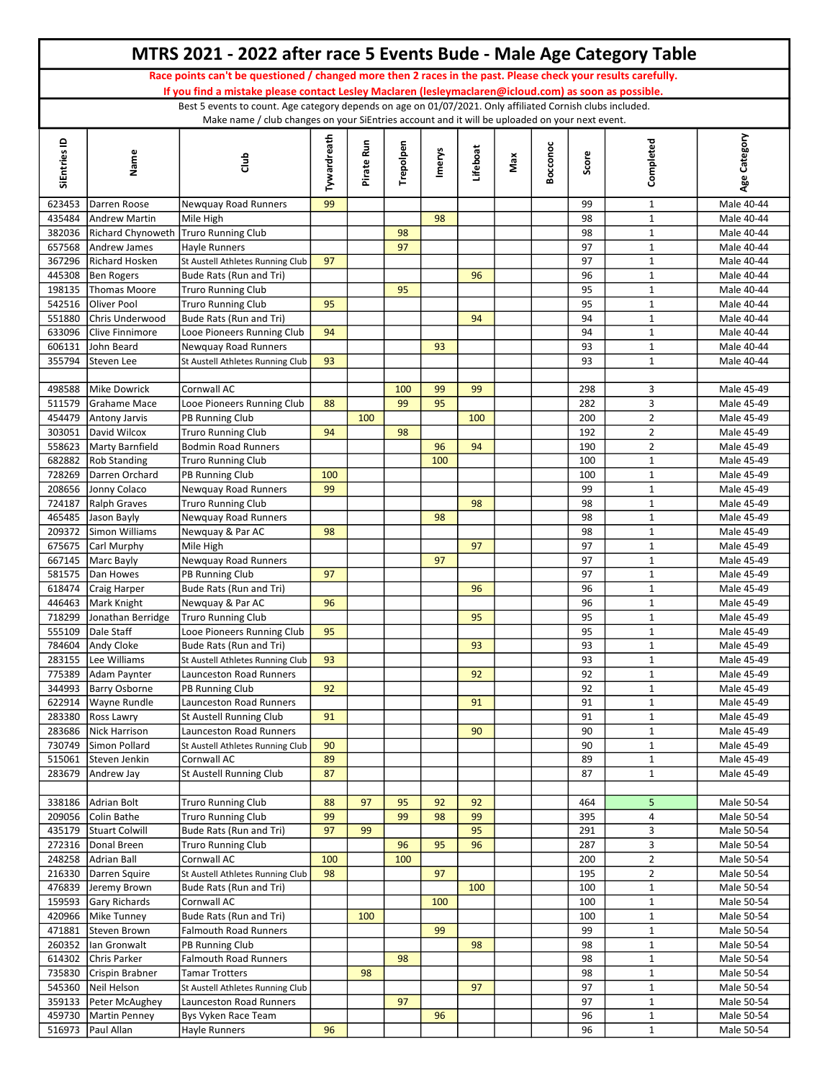|                  |                                     | MTRS 2021 - 2022 after race 5 Events Bude - Male Age Category Table                                                                                                                                                 |             |            |           |               |          |     |          |          |                              |                          |
|------------------|-------------------------------------|---------------------------------------------------------------------------------------------------------------------------------------------------------------------------------------------------------------------|-------------|------------|-----------|---------------|----------|-----|----------|----------|------------------------------|--------------------------|
|                  |                                     | Race points can't be questioned / changed more then 2 races in the past. Please check your results carefully.                                                                                                       |             |            |           |               |          |     |          |          |                              |                          |
|                  |                                     | If you find a mistake please contact Lesley Maclaren (lesleymaclaren@icloud.com) as soon as possible.<br>Best 5 events to count. Age category depends on age on 01/07/2021. Only affiliated Cornish clubs included. |             |            |           |               |          |     |          |          |                              |                          |
|                  |                                     | Make name / club changes on your SiEntries account and it will be uploaded on your next event.                                                                                                                      |             |            |           |               |          |     |          |          |                              |                          |
| SiEntries ID     | Name                                | Club                                                                                                                                                                                                                | Tywardreath | Pirate Run | Trepolpen | <b>Imerys</b> | Lifeboat | Max | Bocconoc | Score    | Completed                    | Age Category             |
| 623453           | Darren Roose                        | Newquay Road Runners                                                                                                                                                                                                | 99          |            |           |               |          |     |          | 99       | $\mathbf{1}$                 | Male 40-44               |
| 435484           | Andrew Martin                       | Mile High                                                                                                                                                                                                           |             |            |           | 98            |          |     |          | 98       | $\mathbf{1}$                 | Male 40-44               |
| 382036           | Richard Chynoweth                   | <b>Truro Running Club</b>                                                                                                                                                                                           |             |            | 98        |               |          |     |          | 98       | $\mathbf{1}$                 | Male 40-44               |
| 657568           | Andrew James                        | Hayle Runners                                                                                                                                                                                                       |             |            | 97        |               |          |     |          | 97       | $\mathbf{1}$                 | Male 40-44               |
| 367296           | Richard Hosken                      | St Austell Athletes Running Club                                                                                                                                                                                    | 97          |            |           |               |          |     |          | 97       | $\mathbf{1}$                 | Male 40-44               |
| 445308<br>198135 | Ben Rogers<br>Thomas Moore          | Bude Rats (Run and Tri)<br><b>Truro Running Club</b>                                                                                                                                                                |             |            | 95        |               | 96       |     |          | 96<br>95 | $\mathbf{1}$<br>$\mathbf{1}$ | Male 40-44<br>Male 40-44 |
| 542516           | Oliver Pool                         | Truro Running Club                                                                                                                                                                                                  | 95          |            |           |               |          |     |          | 95       | $\mathbf{1}$                 | Male 40-44               |
| 551880           | Chris Underwood                     | Bude Rats (Run and Tri)                                                                                                                                                                                             |             |            |           |               | 94       |     |          | 94       | $\mathbf{1}$                 | Male 40-44               |
| 633096           | Clive Finnimore                     | Looe Pioneers Running Club                                                                                                                                                                                          | 94          |            |           |               |          |     |          | 94       | $\mathbf 1$                  | Male 40-44               |
| 606131           | John Beard                          | Newquay Road Runners                                                                                                                                                                                                |             |            |           | 93            |          |     |          | 93       | $\mathbf{1}$                 | Male 40-44               |
| 355794           | Steven Lee                          | St Austell Athletes Running Club                                                                                                                                                                                    | 93          |            |           |               |          |     |          | 93       | $\mathbf{1}$                 | Male 40-44               |
| 498588           | Mike Dowrick                        | Cornwall AC                                                                                                                                                                                                         |             |            | 100       | 99            | 99       |     |          | 298      | 3                            | Male 45-49               |
| 511579           | Grahame Mace                        | Looe Pioneers Running Club                                                                                                                                                                                          | 88          |            | 99        | 95            |          |     |          | 282      | 3                            | Male 45-49               |
| 454479           | Antony Jarvis                       | PB Running Club                                                                                                                                                                                                     |             | 100        |           |               | 100      |     |          | 200      | $\overline{2}$               | Male 45-49               |
| 303051           | David Wilcox                        | <b>Truro Running Club</b>                                                                                                                                                                                           | 94          |            | 98        |               |          |     |          | 192      | $\overline{2}$               | Male 45-49               |
|                  | 558623   Marty Barnfield            | <b>Bodmin Road Runners</b>                                                                                                                                                                                          |             |            |           | 96            | 94       |     |          | 190      | $\overline{2}$               | Male 45-49               |
| 682882           | Rob Standing                        | <b>Truro Running Club</b>                                                                                                                                                                                           |             |            |           | 100           |          |     |          | 100      | $\mathbf{1}$                 | Male 45-49               |
| 728269           | Darren Orchard                      | PB Running Club                                                                                                                                                                                                     | 100         |            |           |               |          |     |          | 100      | $\mathbf{1}$                 | Male 45-49               |
| 208656           | Jonny Colaco                        | Newquay Road Runners                                                                                                                                                                                                | 99          |            |           |               |          |     |          | 99       | $\mathbf{1}$                 | Male 45-49               |
| 724187<br>465485 | Ralph Graves                        | <b>Truro Running Club</b>                                                                                                                                                                                           |             |            |           |               | 98       |     |          | 98       | $\mathbf{1}$<br>$\mathbf{1}$ | Male 45-49               |
| 209372           | Jason Bayly<br>Simon Williams       | Newquay Road Runners<br>Newquay & Par AC                                                                                                                                                                            | 98          |            |           | 98            |          |     |          | 98<br>98 | $\mathbf{1}$                 | Male 45-49<br>Male 45-49 |
| 675675           | Carl Murphy                         | Mile High                                                                                                                                                                                                           |             |            |           |               | 97       |     |          | 97       | $\mathbf{1}$                 | Male 45-49               |
|                  | 667145   Marc Bayly                 | Newquay Road Runners                                                                                                                                                                                                |             |            |           | 97            |          |     |          | 97       | $\mathbf{1}$                 | Male 45-49               |
| 581575           | Dan Howes                           | PB Running Club                                                                                                                                                                                                     | 97          |            |           |               |          |     |          | 97       | $\mathbf{1}$                 | Male 45-49               |
| 618474           | Craig Harper                        | Bude Rats (Run and Tri)                                                                                                                                                                                             |             |            |           |               | 96       |     |          | 96       | $\mathbf{1}$                 | Male 45-49               |
| 446463           | Mark Knight                         | Newquay & Par AC                                                                                                                                                                                                    | 96          |            |           |               |          |     |          | 96       | $\mathbf{1}$                 | Male 45-49               |
| 718299           | Jonathan Berridge                   | <b>Truro Running Club</b>                                                                                                                                                                                           |             |            |           |               | 95       |     |          | 95       | $\mathbf{1}$                 | Male 45-49               |
| 555109           | Dale Staff                          | Looe Pioneers Running Club                                                                                                                                                                                          | 95          |            |           |               |          |     |          | 95       | $\mathbf{1}$                 | Male 45-49               |
|                  | 784604 Andy Cloke                   | Bude Rats (Run and Tri)                                                                                                                                                                                             |             |            |           |               | 93       |     |          | 93       | $\mathbf{1}$                 | Male 45-49               |
| 775389           | 283155 Lee Williams                 | St Austell Athletes Running Club<br><b>Launceston Road Runners</b>                                                                                                                                                  | 93          |            |           |               | 92       |     |          | 93<br>92 | $\mathbf{1}$                 | Male 45-49<br>Male 45-49 |
| 344993           | Adam Paynter<br>Barry Osborne       | PB Running Club                                                                                                                                                                                                     | 92          |            |           |               |          |     |          | 92       | $\mathbf{1}$<br>$\mathbf{1}$ | Male 45-49               |
| 622914           | Wayne Rundle                        | <b>Launceston Road Runners</b>                                                                                                                                                                                      |             |            |           |               | 91       |     |          | 91       | $\mathbf{1}$                 | Male 45-49               |
| 283380           | Ross Lawry                          | St Austell Running Club                                                                                                                                                                                             | 91          |            |           |               |          |     |          | 91       | $\mathbf 1$                  | Male 45-49               |
|                  | 283686 Nick Harrison                | Launceston Road Runners                                                                                                                                                                                             |             |            |           |               | 90       |     |          | 90       | $\mathbf{1}$                 | Male 45-49               |
| 730749           | Simon Pollard                       | St Austell Athletes Running Club                                                                                                                                                                                    | 90          |            |           |               |          |     |          | 90       | $\mathbf{1}$                 | Male 45-49               |
| 515061           | Steven Jenkin                       | Cornwall AC                                                                                                                                                                                                         | 89          |            |           |               |          |     |          | 89       | $\mathbf{1}$                 | Male 45-49               |
| 283679           | Andrew Jay                          | St Austell Running Club                                                                                                                                                                                             | 87          |            |           |               |          |     |          | 87       | $\mathbf{1}$                 | Male 45-49               |
|                  | 338186 Adrian Bolt                  | <b>Truro Running Club</b>                                                                                                                                                                                           | 88          | 97         | 95        | 92            | 92       |     |          | 464      | 5                            | Male 50-54               |
|                  | 209056 Colin Bathe                  | <b>Truro Running Club</b>                                                                                                                                                                                           | 99          |            | 99        | 98            | 99       |     |          | 395      | 4                            | Male 50-54               |
|                  | 435179 Stuart Colwill               | Bude Rats (Run and Tri)                                                                                                                                                                                             | 97          | 99         |           |               | 95       |     |          | 291      | 3                            | Male 50-54               |
|                  | 272316   Donal Breen                | Truro Running Club                                                                                                                                                                                                  |             |            | 96        | 95            | 96       |     |          | 287      | 3                            | Male 50-54               |
|                  | 248258 Adrian Ball                  | Cornwall AC                                                                                                                                                                                                         | 100         |            | 100       |               |          |     |          | 200      | $\overline{2}$               | Male 50-54               |
|                  | 216330 Darren Squire                | St Austell Athletes Running Club                                                                                                                                                                                    | 98          |            |           | 97            |          |     |          | 195      | $\overline{2}$               | Male 50-54               |
|                  | 476839 Jeremy Brown                 | Bude Rats (Run and Tri)                                                                                                                                                                                             |             |            |           |               | 100      |     |          | 100      | $\mathbf{1}$                 | Male 50-54               |
| 159593           | Gary Richards                       | Cornwall AC                                                                                                                                                                                                         |             |            |           | 100           |          |     |          | 100      | $\mathbf{1}$                 | Male 50-54               |
|                  | 420966   Mike Tunney                | Bude Rats (Run and Tri)                                                                                                                                                                                             |             | 100        |           |               |          |     |          | 100      | $\mathbf{1}$                 | Male 50-54               |
| 471881           | Steven Brown<br>260352 Ian Gronwalt | <b>Falmouth Road Runners</b><br>PB Running Club                                                                                                                                                                     |             |            |           | 99            | 98       |     |          | 99<br>98 | $\mathbf{1}$<br>$\mathbf{1}$ | Male 50-54<br>Male 50-54 |
| 614302           | Chris Parker                        | <b>Falmouth Road Runners</b>                                                                                                                                                                                        |             |            | 98        |               |          |     |          | 98       | $\mathbf{1}$                 | Male 50-54               |
|                  | 735830 Crispin Brabner              | <b>Tamar Trotters</b>                                                                                                                                                                                               |             | 98         |           |               |          |     |          | 98       | $\mathbf{1}$                 | Male 50-54               |
|                  | 545360 Neil Helson                  | St Austell Athletes Running Club                                                                                                                                                                                    |             |            |           |               | 97       |     |          | 97       | $\mathbf{1}$                 | Male 50-54               |
|                  | 359133   Peter McAughey             | Launceston Road Runners                                                                                                                                                                                             |             |            | 97        |               |          |     |          | 97       | $\mathbf{1}$                 | Male 50-54               |
|                  | 459730 Martin Penney                | Bys Vyken Race Team                                                                                                                                                                                                 |             |            |           | 96            |          |     |          | 96       | $\mathbf{1}$                 | Male 50-54               |
|                  | 516973 Paul Allan                   | Hayle Runners                                                                                                                                                                                                       | 96          |            |           |               |          |     |          | 96       | $\mathbf{1}$                 | Male 50-54               |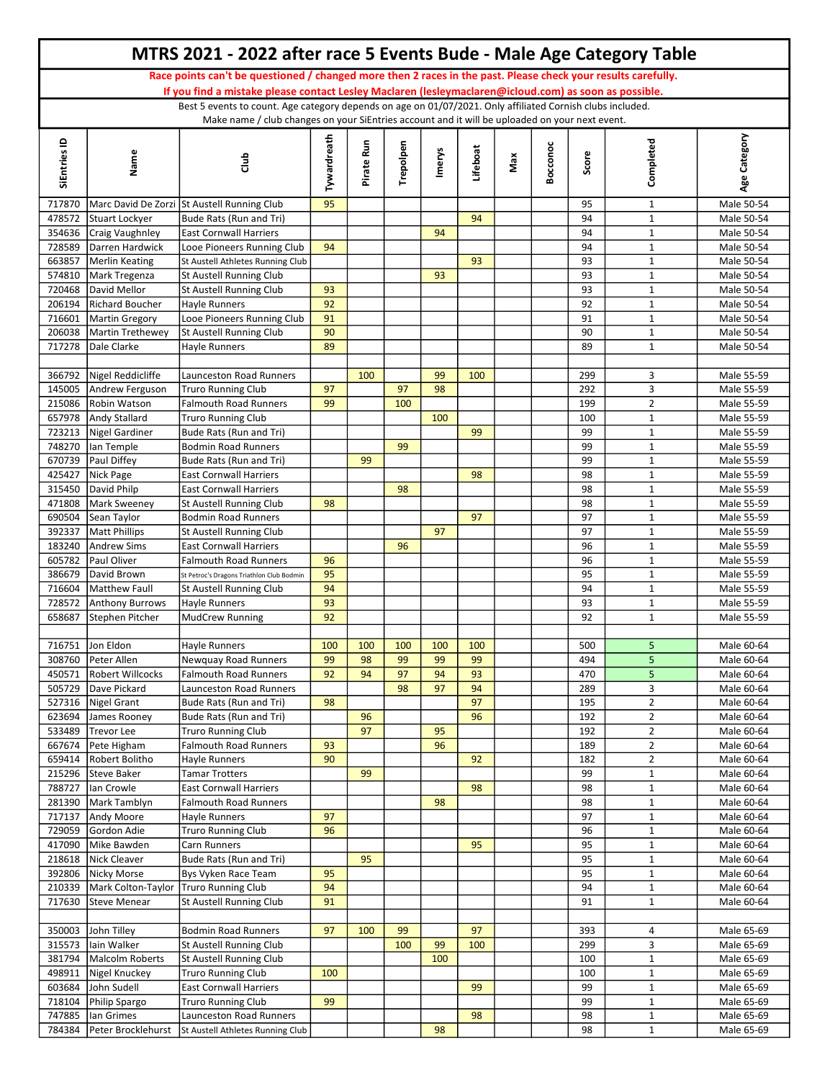|                  |                                                  | MTRS 2021 - 2022 after race 5 Events Bude - Male Age Category Table                                                                                                                                                    |             |            |           |        |           |     |          |            |                                  |                          |
|------------------|--------------------------------------------------|------------------------------------------------------------------------------------------------------------------------------------------------------------------------------------------------------------------------|-------------|------------|-----------|--------|-----------|-----|----------|------------|----------------------------------|--------------------------|
|                  |                                                  | Race points can't be questioned / changed more then 2 races in the past. Please check your results carefully.<br>If you find a mistake please contact Lesley Maclaren (lesleymaclaren@icloud.com) as soon as possible. |             |            |           |        |           |     |          |            |                                  |                          |
|                  |                                                  | Best 5 events to count. Age category depends on age on 01/07/2021. Only affiliated Cornish clubs included.                                                                                                             |             |            |           |        |           |     |          |            |                                  |                          |
| SiEntries ID     | Name                                             | Make name / club changes on your SiEntries account and it will be uploaded on your next event.<br>Club                                                                                                                 | Tywardreath | Pirate Run | Trepolpen | Imerys | Lifeboat  | Max | Bocconoc | Score      | Completed                        | Age Category             |
| 717870           |                                                  | Marc David De Zorzi St Austell Running Club                                                                                                                                                                            | 95          |            |           |        |           |     |          | 95         | $\mathbf{1}$                     | Male 50-54               |
| 478572           | Stuart Lockyer                                   | Bude Rats (Run and Tri)                                                                                                                                                                                                |             |            |           |        | 94        |     |          | 94         | $\mathbf{1}$                     | Male 50-54               |
| 354636           | Craig Vaughnley                                  | <b>East Cornwall Harriers</b>                                                                                                                                                                                          |             |            |           | 94     |           |     |          | 94         | $\mathbf{1}$                     | Male 50-54               |
| 728589           | Darren Hardwick                                  | Looe Pioneers Running Club                                                                                                                                                                                             | 94          |            |           |        |           |     |          | 94         | $\mathbf{1}$                     | Male 50-54               |
| 663857<br>574810 | Merlin Keating<br>Mark Tregenza                  | St Austell Athletes Running Club<br><b>St Austell Running Club</b>                                                                                                                                                     |             |            |           | 93     | 93        |     |          | 93<br>93   | $\mathbf{1}$<br>$\mathbf{1}$     | Male 50-54<br>Male 50-54 |
| 720468           | David Mellor                                     | <b>St Austell Running Club</b>                                                                                                                                                                                         | 93          |            |           |        |           |     |          | 93         | $\mathbf{1}$                     | Male 50-54               |
| 206194           | Richard Boucher                                  | <b>Hayle Runners</b>                                                                                                                                                                                                   | 92          |            |           |        |           |     |          | 92         | $\mathbf{1}$                     | Male 50-54               |
| 716601           | Martin Gregory                                   | Looe Pioneers Running Club                                                                                                                                                                                             | 91          |            |           |        |           |     |          | 91         | $\mathbf{1}$                     | Male 50-54               |
|                  | 206038 Martin Trethewey                          | <b>St Austell Running Club</b>                                                                                                                                                                                         | 90          |            |           |        |           |     |          | 90         | $\mathbf{1}$                     | Male 50-54               |
| 717278           | Dale Clarke                                      | Hayle Runners                                                                                                                                                                                                          | 89          |            |           |        |           |     |          | 89         | $\mathbf{1}$                     | Male 50-54               |
| 366792           | Nigel Reddicliffe                                | Launceston Road Runners                                                                                                                                                                                                |             | 100        |           | 99     | 100       |     |          | 299        | 3                                | Male 55-59               |
| 145005           | Andrew Ferguson                                  | <b>Truro Running Club</b>                                                                                                                                                                                              | 97          |            | 97        | 98     |           |     |          | 292        | 3                                | Male 55-59               |
| 215086           | Robin Watson                                     | <b>Falmouth Road Runners</b>                                                                                                                                                                                           | 99          |            | 100       |        |           |     |          | 199        | $\overline{2}$                   | Male 55-59               |
| 657978           | Andy Stallard                                    | <b>Truro Running Club</b>                                                                                                                                                                                              |             |            |           | 100    |           |     |          | 100        | $\mathbf{1}$                     | Male 55-59               |
|                  | 723213   Nigel Gardiner                          | Bude Rats (Run and Tri)                                                                                                                                                                                                |             |            |           |        | 99        |     |          | 99         | $\mathbf{1}$                     | Male 55-59               |
|                  | 748270   lan Temple                              | <b>Bodmin Road Runners</b>                                                                                                                                                                                             |             |            | 99        |        |           |     |          | 99         | $\mathbf{1}$                     | Male 55-59               |
|                  | 670739 Paul Diffey                               | Bude Rats (Run and Tri)                                                                                                                                                                                                |             | 99         |           |        |           |     |          | 99         | $\mathbf{1}$                     | Male 55-59               |
| 425427<br>315450 | Nick Page<br>David Philp                         | <b>East Cornwall Harriers</b><br><b>East Cornwall Harriers</b>                                                                                                                                                         |             |            | 98        |        | 98        |     |          | 98<br>98   | $\mathbf{1}$<br>$\mathbf{1}$     | Male 55-59<br>Male 55-59 |
|                  | 471808 Mark Sweeney                              | <b>St Austell Running Club</b>                                                                                                                                                                                         | 98          |            |           |        |           |     |          | 98         | $\mathbf{1}$                     | Male 55-59               |
| 690504           | Sean Taylor                                      | <b>Bodmin Road Runners</b>                                                                                                                                                                                             |             |            |           |        | 97        |     |          | 97         | $\mathbf{1}$                     | Male 55-59               |
|                  | 392337   Matt Phillips                           | St Austell Running Club                                                                                                                                                                                                |             |            |           | 97     |           |     |          | 97         | $\mathbf{1}$                     | Male 55-59               |
| 183240           | Andrew Sims                                      | <b>East Cornwall Harriers</b>                                                                                                                                                                                          |             |            | 96        |        |           |     |          | 96         | $\mathbf{1}$                     | Male 55-59               |
| 605782           | Paul Oliver                                      | <b>Falmouth Road Runners</b>                                                                                                                                                                                           | 96          |            |           |        |           |     |          | 96         | $\mathbf{1}$                     | Male 55-59               |
| 386679           | David Brown                                      | St Petroc's Dragons Triathlon Club Bodmin                                                                                                                                                                              | 95          |            |           |        |           |     |          | 95         | $\mathbf{1}$                     | Male 55-59               |
| 716604<br>728572 | Matthew Faull<br>Anthony Burrows                 | St Austell Running Club<br><b>Hayle Runners</b>                                                                                                                                                                        | 94<br>93    |            |           |        |           |     |          | 94<br>93   | $\mathbf{1}$<br>$\mathbf{1}$     | Male 55-59<br>Male 55-59 |
| 658687           | Stephen Pitcher                                  | <b>MudCrew Running</b>                                                                                                                                                                                                 | 92          |            |           |        |           |     |          | 92         | $\mathbf{1}$                     | Male 55-59               |
|                  |                                                  |                                                                                                                                                                                                                        |             |            |           |        |           |     |          |            |                                  |                          |
|                  | 716751 Jon Eldon                                 | <b>Hayle Runners</b>                                                                                                                                                                                                   | 100         | 100        | 100       | 100    | 100       |     |          | 500        | 5                                | Male 60-64               |
|                  | 308760 Peter Allen                               | Newquay Road Runners                                                                                                                                                                                                   | 99          | 98         | 99        | 99     | 99        |     |          | 494        | 5                                | Male 60-64               |
| 450571           | Robert Willcocks                                 | <b>Falmouth Road Runners</b>                                                                                                                                                                                           | 92          | 94         | 97        | 94     | 93        |     |          | 470        | 5 <sub>5</sub>                   | Male 60-64               |
|                  | 505729 Dave Pickard                              | Launceston Road Runners                                                                                                                                                                                                |             |            | 98        | 97     | 94        |     |          | 289        | 3                                | Male 60-64               |
| 527316<br>623694 | Nigel Grant<br>James Rooney                      | Bude Rats (Run and Tri)<br>Bude Rats (Run and Tri)                                                                                                                                                                     | 98          | 96         |           |        | 97<br>96  |     |          | 195<br>192 | $\overline{2}$<br>$\overline{2}$ | Male 60-64<br>Male 60-64 |
| 533489           | Trevor Lee                                       | <b>Truro Running Club</b>                                                                                                                                                                                              |             | 97         |           | 95     |           |     |          | 192        | $\overline{2}$                   | Male 60-64               |
| 667674           | Pete Higham                                      | <b>Falmouth Road Runners</b>                                                                                                                                                                                           | 93          |            |           | 96     |           |     |          | 189        | $\overline{2}$                   | Male 60-64               |
| 659414           | Robert Bolitho                                   | Hayle Runners                                                                                                                                                                                                          | 90          |            |           |        | 92        |     |          | 182        | $\overline{2}$                   | Male 60-64               |
|                  | 215296 Steve Baker                               | <b>Tamar Trotters</b>                                                                                                                                                                                                  |             | 99         |           |        |           |     |          | 99         | $\mathbf{1}$                     | Male 60-64               |
| 788727           | Ian Crowle                                       | <b>East Cornwall Harriers</b>                                                                                                                                                                                          |             |            |           |        | 98        |     |          | 98         | $\mathbf{1}$                     | Male 60-64               |
| 281390           | Mark Tamblyn                                     | <b>Falmouth Road Runners</b>                                                                                                                                                                                           |             |            |           | 98     |           |     |          | 98         | $\mathbf{1}$                     | Male 60-64               |
| 717137<br>729059 | Andy Moore<br>Gordon Adie                        | Hayle Runners<br><b>Truro Running Club</b>                                                                                                                                                                             | 97<br>96    |            |           |        |           |     |          | 97<br>96   | $\mathbf{1}$<br>$\mathbf{1}$     | Male 60-64<br>Male 60-64 |
| 417090           | Mike Bawden                                      | Carn Runners                                                                                                                                                                                                           |             |            |           |        | 95        |     |          | 95         | $\mathbf{1}$                     | Male 60-64               |
|                  | 218618 Nick Cleaver                              | Bude Rats (Run and Tri)                                                                                                                                                                                                |             | 95         |           |        |           |     |          | 95         | $\mathbf{1}$                     | Male 60-64               |
|                  | 392806 Nicky Morse                               | Bys Vyken Race Team                                                                                                                                                                                                    | 95          |            |           |        |           |     |          | 95         | $\mathbf{1}$                     | Male 60-64               |
|                  | 210339   Mark Colton-Taylor   Truro Running Club |                                                                                                                                                                                                                        | 94          |            |           |        |           |     |          | 94         | $\mathbf{1}$                     | Male 60-64               |
| 717630           | Steve Menear                                     | <b>St Austell Running Club</b>                                                                                                                                                                                         | 91          |            |           |        |           |     |          | 91         | $\mathbf{1}$                     | Male 60-64               |
|                  |                                                  |                                                                                                                                                                                                                        |             |            |           |        |           |     |          |            |                                  |                          |
| 350003           | John Tilley<br>315573 lain Walker                | <b>Bodmin Road Runners</b><br><b>St Austell Running Club</b>                                                                                                                                                           | 97          | 100        | 99<br>100 | 99     | 97<br>100 |     |          | 393<br>299 | 4<br>3                           | Male 65-69<br>Male 65-69 |
| 381794           | Malcolm Roberts                                  | St Austell Running Club                                                                                                                                                                                                |             |            |           | 100    |           |     |          | 100        | $\mathbf{1}$                     | Male 65-69               |
| 498911           | Nigel Knuckey                                    | <b>Truro Running Club</b>                                                                                                                                                                                              | 100         |            |           |        |           |     |          | 100        | $\mathbf 1$                      | Male 65-69               |
| 603684           | John Sudell                                      | <b>East Cornwall Harriers</b>                                                                                                                                                                                          |             |            |           |        | 99        |     |          | 99         | $\mathbf{1}$                     | Male 65-69               |
|                  | 718104 Philip Spargo                             | <b>Truro Running Club</b>                                                                                                                                                                                              | 99          |            |           |        |           |     |          | 99         | $\mathbf{1}$                     | Male 65-69               |
|                  | 747885   Ian Grimes                              | Launceston Road Runners                                                                                                                                                                                                |             |            |           |        | 98        |     |          | 98         | $\mathbf{1}$                     | Male 65-69               |
|                  | 784384 Peter Brocklehurst                        | St Austell Athletes Running Club                                                                                                                                                                                       |             |            |           | 98     |           |     |          | 98         | $\mathbf{1}$                     | Male 65-69               |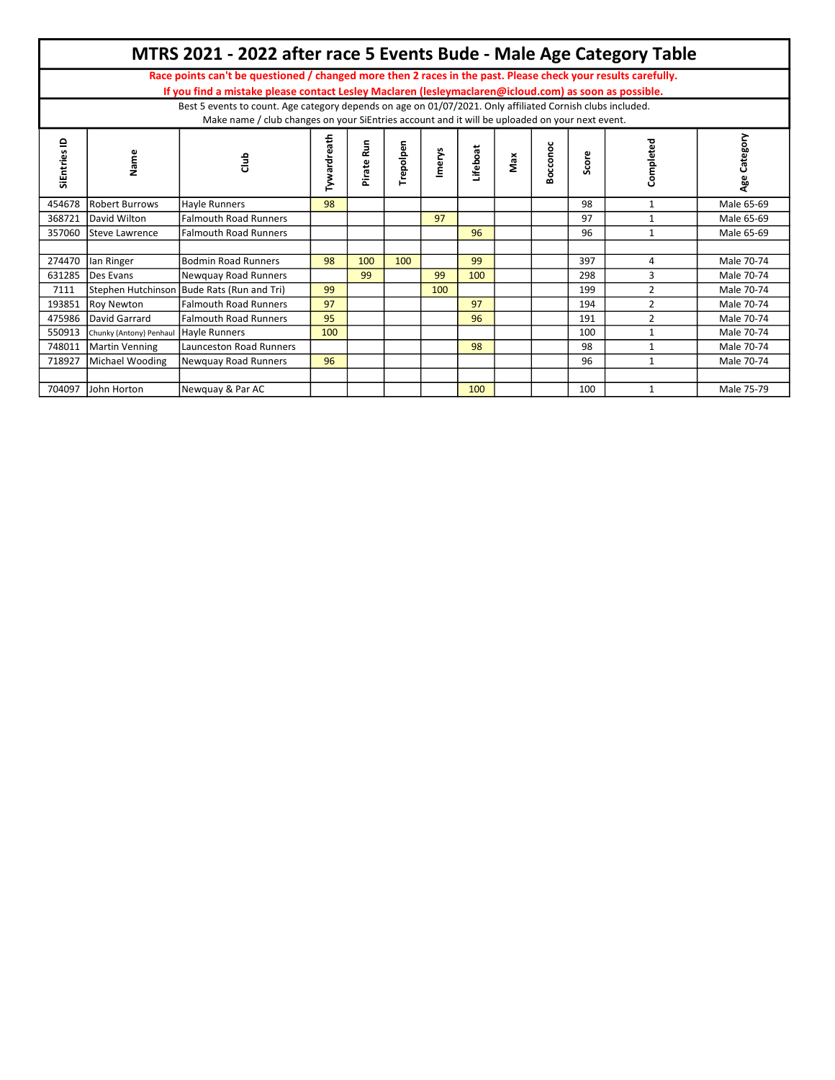|                |                         | MTRS 2021 - 2022 after race 5 Events Bude - Male Age Category Table                                                                                                                                          |                    |            |           |        |                 |     |          |       |                |                 |
|----------------|-------------------------|--------------------------------------------------------------------------------------------------------------------------------------------------------------------------------------------------------------|--------------------|------------|-----------|--------|-----------------|-----|----------|-------|----------------|-----------------|
|                |                         | Race points can't be questioned / changed more then 2 races in the past. Please check your results carefully.                                                                                                |                    |            |           |        |                 |     |          |       |                |                 |
|                |                         | If you find a mistake please contact Lesley Maclaren (lesleymaclaren@icloud.com) as soon as possible.                                                                                                        |                    |            |           |        |                 |     |          |       |                |                 |
|                |                         | Best 5 events to count. Age category depends on age on 01/07/2021. Only affiliated Cornish clubs included.<br>Make name / club changes on your SiEntries account and it will be uploaded on your next event. |                    |            |           |        |                 |     |          |       |                |                 |
| ≘<br>SiEntries | Name                    | Club                                                                                                                                                                                                         | <b>Tywardreath</b> | Pirate Run | Trepolpen | Imerys | <b>Lifeboat</b> | Max | Bocconoc | Score | Completed      | Category<br>Age |
| 454678         | <b>Robert Burrows</b>   | Hayle Runners                                                                                                                                                                                                | 98                 |            |           |        |                 |     |          | 98    | $\mathbf{1}$   | Male 65-69      |
| 368721         | David Wilton            | <b>Falmouth Road Runners</b>                                                                                                                                                                                 |                    |            |           | 97     |                 |     |          | 97    | 1              | Male 65-69      |
| 357060         | <b>Steve Lawrence</b>   | <b>Falmouth Road Runners</b>                                                                                                                                                                                 |                    |            |           |        | 96              |     |          | 96    | $\mathbf{1}$   | Male 65-69      |
|                |                         |                                                                                                                                                                                                              |                    |            |           |        |                 |     |          |       |                |                 |
| 274470         | lan Ringer              | <b>Bodmin Road Runners</b>                                                                                                                                                                                   | 98                 | 100        | 100       |        | 99              |     |          | 397   | 4              | Male 70-74      |
| 631285         | Des Evans               | Newquay Road Runners                                                                                                                                                                                         |                    | 99         |           | 99     | 100             |     |          | 298   | 3              | Male 70-74      |
| 7111           |                         | Stephen Hutchinson Bude Rats (Run and Tri)                                                                                                                                                                   | 99                 |            |           | 100    |                 |     |          | 199   | 2              | Male 70-74      |
| 193851         | <b>Roy Newton</b>       | <b>Falmouth Road Runners</b>                                                                                                                                                                                 | 97                 |            |           |        | 97              |     |          | 194   | $\overline{2}$ | Male 70-74      |
| 475986         | David Garrard           | <b>Falmouth Road Runners</b>                                                                                                                                                                                 | 95                 |            |           |        | 96              |     |          | 191   | $\overline{2}$ | Male 70-74      |
| 550913         | Chunky (Antony) Penhaul | <b>Hayle Runners</b>                                                                                                                                                                                         | 100                |            |           |        |                 |     |          | 100   |                | Male 70-74      |
| 748011         | Martin Venning          | Launceston Road Runners                                                                                                                                                                                      |                    |            |           |        | 98              |     |          | 98    |                | Male 70-74      |
| 718927         | Michael Wooding         | Newquay Road Runners                                                                                                                                                                                         | 96                 |            |           |        |                 |     |          | 96    | 1              | Male 70-74      |
|                |                         |                                                                                                                                                                                                              |                    |            |           |        |                 |     |          |       |                |                 |
| 704097         | John Horton             | Newquay & Par AC                                                                                                                                                                                             |                    |            |           |        | 100             |     |          | 100   |                | Male 75-79      |